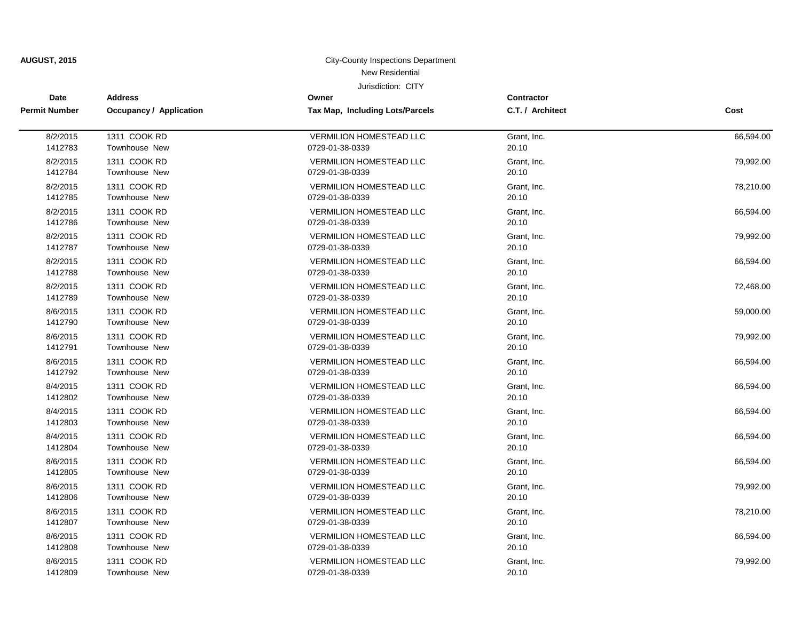| <b>Date</b>          | <b>Address</b>          | Owner                                  | Contractor       |           |
|----------------------|-------------------------|----------------------------------------|------------------|-----------|
| <b>Permit Number</b> | Occupancy / Application | <b>Tax Map, Including Lots/Parcels</b> | C.T. / Architect | Cost      |
| 8/2/2015             | 1311 COOK RD            | <b>VERMILION HOMESTEAD LLC</b>         | Grant, Inc.      | 66,594.00 |
| 1412783              | Townhouse New           | 0729-01-38-0339                        | 20.10            |           |
| 8/2/2015             | 1311 COOK RD            | <b>VERMILION HOMESTEAD LLC</b>         | Grant. Inc.      | 79,992.00 |
| 1412784              | <b>Townhouse New</b>    | 0729-01-38-0339                        | 20.10            |           |
| 8/2/2015             | 1311 COOK RD            | <b>VERMILION HOMESTEAD LLC</b>         | Grant. Inc.      | 78,210.00 |
| 1412785              | Townhouse New           | 0729-01-38-0339                        | 20.10            |           |
| 8/2/2015             | 1311 COOK RD            | <b>VERMILION HOMESTEAD LLC</b>         | Grant, Inc.      | 66,594.00 |
| 1412786              | <b>Townhouse New</b>    | 0729-01-38-0339                        | 20.10            |           |
| 8/2/2015             | 1311 COOK RD            | <b>VERMILION HOMESTEAD LLC</b>         | Grant, Inc.      | 79,992.00 |
| 1412787              | Townhouse New           | 0729-01-38-0339                        | 20.10            |           |
| 8/2/2015             | 1311 COOK RD            | <b>VERMILION HOMESTEAD LLC</b>         | Grant, Inc.      | 66,594.00 |
| 1412788              | <b>Townhouse New</b>    | 0729-01-38-0339                        | 20.10            |           |
| 8/2/2015             | 1311 COOK RD            | <b>VERMILION HOMESTEAD LLC</b>         | Grant, Inc.      | 72,468.00 |
| 1412789              | Townhouse New           | 0729-01-38-0339                        | 20.10            |           |
| 8/6/2015             | 1311 COOK RD            | <b>VERMILION HOMESTEAD LLC</b>         | Grant, Inc.      | 59,000.00 |
| 1412790              | Townhouse New           | 0729-01-38-0339                        | 20.10            |           |
| 8/6/2015             | 1311 COOK RD            | <b>VERMILION HOMESTEAD LLC</b>         | Grant, Inc.      | 79,992.00 |
| 1412791              | Townhouse New           | 0729-01-38-0339                        | 20.10            |           |
| 8/6/2015             | 1311 COOK RD            | <b>VERMILION HOMESTEAD LLC</b>         | Grant, Inc.      | 66,594.00 |
| 1412792              | Townhouse New           | 0729-01-38-0339                        | 20.10            |           |
| 8/4/2015             | 1311 COOK RD            | <b>VERMILION HOMESTEAD LLC</b>         | Grant, Inc.      | 66,594.00 |
| 1412802              | Townhouse New           | 0729-01-38-0339                        | 20.10            |           |
| 8/4/2015             | 1311 COOK RD            | <b>VERMILION HOMESTEAD LLC</b>         | Grant, Inc.      | 66,594.00 |
| 1412803              | Townhouse New           | 0729-01-38-0339                        | 20.10            |           |
| 8/4/2015             | 1311 COOK RD            | <b>VERMILION HOMESTEAD LLC</b>         | Grant, Inc.      | 66,594.00 |
| 1412804              | Townhouse New           | 0729-01-38-0339                        | 20.10            |           |
| 8/6/2015             | 1311 COOK RD            | <b>VERMILION HOMESTEAD LLC</b>         | Grant, Inc.      | 66,594.00 |
| 1412805              | Townhouse New           | 0729-01-38-0339                        | 20.10            |           |
| 8/6/2015             | 1311 COOK RD            | <b>VERMILION HOMESTEAD LLC</b>         | Grant, Inc.      | 79,992.00 |
| 1412806              | <b>Townhouse New</b>    | 0729-01-38-0339                        | 20.10            |           |
| 8/6/2015             | 1311 COOK RD            | <b>VERMILION HOMESTEAD LLC</b>         | Grant, Inc.      | 78,210.00 |
| 1412807              | Townhouse New           | 0729-01-38-0339                        | 20.10            |           |
| 8/6/2015             | 1311 COOK RD            | VERMILION HOMESTEAD LLC                | Grant, Inc.      | 66,594.00 |
| 1412808              | <b>Townhouse New</b>    | 0729-01-38-0339                        | 20.10            |           |
| 8/6/2015             | 1311 COOK RD            | <b>VERMILION HOMESTEAD LLC</b>         | Grant, Inc.      | 79,992.00 |
| 1412809              | Townhouse New           | 0729-01-38-0339                        | 20.10            |           |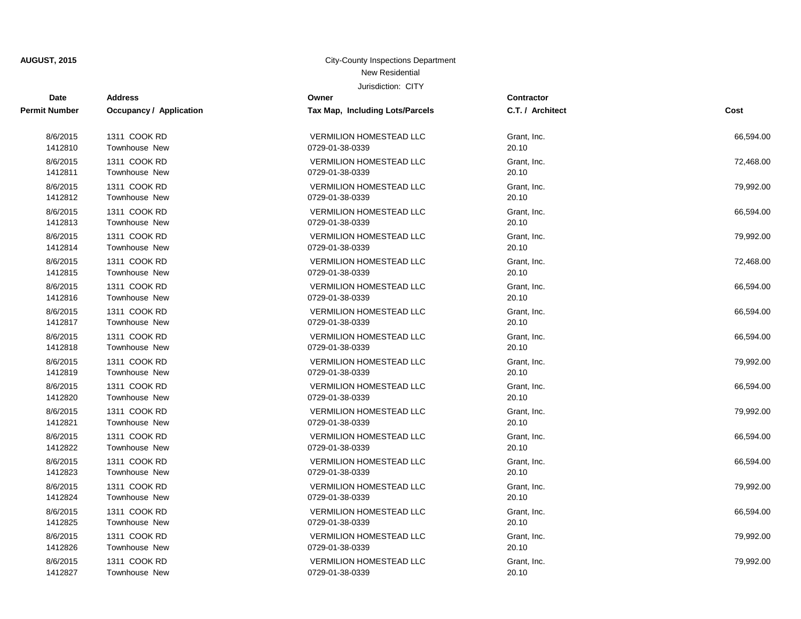| <b>Date</b>          | <b>Address</b>                 | Owner                           | Contractor       |           |
|----------------------|--------------------------------|---------------------------------|------------------|-----------|
| <b>Permit Number</b> | <b>Occupancy / Application</b> | Tax Map, Including Lots/Parcels | C.T. / Architect | Cost      |
| 8/6/2015             | 1311 COOK RD                   | <b>VERMILION HOMESTEAD LLC</b>  | Grant, Inc.      | 66,594.00 |
| 1412810              | <b>Townhouse New</b>           | 0729-01-38-0339                 | 20.10            |           |
| 8/6/2015             | 1311 COOK RD                   | <b>VERMILION HOMESTEAD LLC</b>  | Grant, Inc.      | 72,468.00 |
| 1412811              | Townhouse New                  | 0729-01-38-0339                 | 20.10            |           |
| 8/6/2015             | 1311 COOK RD                   | <b>VERMILION HOMESTEAD LLC</b>  | Grant, Inc.      | 79,992.00 |
| 1412812              | <b>Townhouse New</b>           | 0729-01-38-0339                 | 20.10            |           |
| 8/6/2015             | 1311 COOK RD                   | <b>VERMILION HOMESTEAD LLC</b>  | Grant, Inc.      | 66,594.00 |
| 1412813              | Townhouse New                  | 0729-01-38-0339                 | 20.10            |           |
| 8/6/2015             | 1311 COOK RD                   | <b>VERMILION HOMESTEAD LLC</b>  | Grant, Inc.      | 79,992.00 |
| 1412814              | <b>Townhouse New</b>           | 0729-01-38-0339                 | 20.10            |           |
| 8/6/2015             | 1311 COOK RD                   | <b>VERMILION HOMESTEAD LLC</b>  | Grant, Inc.      | 72,468.00 |
| 1412815              | Townhouse New                  | 0729-01-38-0339                 | 20.10            |           |
| 8/6/2015             | 1311 COOK RD                   | VERMILION HOMESTEAD LLC         | Grant, Inc.      | 66,594.00 |
| 1412816              | Townhouse New                  | 0729-01-38-0339                 | 20.10            |           |
| 8/6/2015             | 1311 COOK RD                   | <b>VERMILION HOMESTEAD LLC</b>  | Grant, Inc.      | 66,594.00 |
| 1412817              | Townhouse New                  | 0729-01-38-0339                 | 20.10            |           |
| 8/6/2015             | 1311 COOK RD                   | <b>VERMILION HOMESTEAD LLC</b>  | Grant, Inc.      | 66,594.00 |
| 1412818              | Townhouse New                  | 0729-01-38-0339                 | 20.10            |           |
| 8/6/2015             | 1311 COOK RD                   | VERMILION HOMESTEAD LLC         | Grant. Inc.      | 79,992.00 |
| 1412819              | Townhouse New                  | 0729-01-38-0339                 | 20.10            |           |
| 8/6/2015             | 1311 COOK RD                   | <b>VERMILION HOMESTEAD LLC</b>  | Grant, Inc.      | 66,594.00 |
| 1412820              | Townhouse New                  | 0729-01-38-0339                 | 20.10            |           |
| 8/6/2015             | 1311 COOK RD                   | <b>VERMILION HOMESTEAD LLC</b>  | Grant, Inc.      | 79,992.00 |
| 1412821              | Townhouse New                  | 0729-01-38-0339                 | 20.10            |           |
| 8/6/2015             | 1311 COOK RD                   | <b>VERMILION HOMESTEAD LLC</b>  | Grant, Inc.      | 66,594.00 |
| 1412822              | Townhouse New                  | 0729-01-38-0339                 | 20.10            |           |
| 8/6/2015             | 1311 COOK RD                   | <b>VERMILION HOMESTEAD LLC</b>  | Grant, Inc.      | 66,594.00 |
| 1412823              | Townhouse New                  | 0729-01-38-0339                 | 20.10            |           |
| 8/6/2015             | 1311 COOK RD                   | <b>VERMILION HOMESTEAD LLC</b>  | Grant, Inc.      | 79,992.00 |
| 1412824              | Townhouse New                  | 0729-01-38-0339                 | 20.10            |           |
| 8/6/2015             | 1311 COOK RD                   | <b>VERMILION HOMESTEAD LLC</b>  | Grant, Inc.      | 66,594.00 |
| 1412825              | Townhouse New                  | 0729-01-38-0339                 | 20.10            |           |
| 8/6/2015             | 1311 COOK RD                   | <b>VERMILION HOMESTEAD LLC</b>  | Grant, Inc.      | 79,992.00 |
| 1412826              | <b>Townhouse New</b>           | 0729-01-38-0339                 | 20.10            |           |
| 8/6/2015             | 1311 COOK RD                   | <b>VERMILION HOMESTEAD LLC</b>  | Grant, Inc.      | 79,992.00 |
| 1412827              | Townhouse New                  | 0729-01-38-0339                 | 20.10            |           |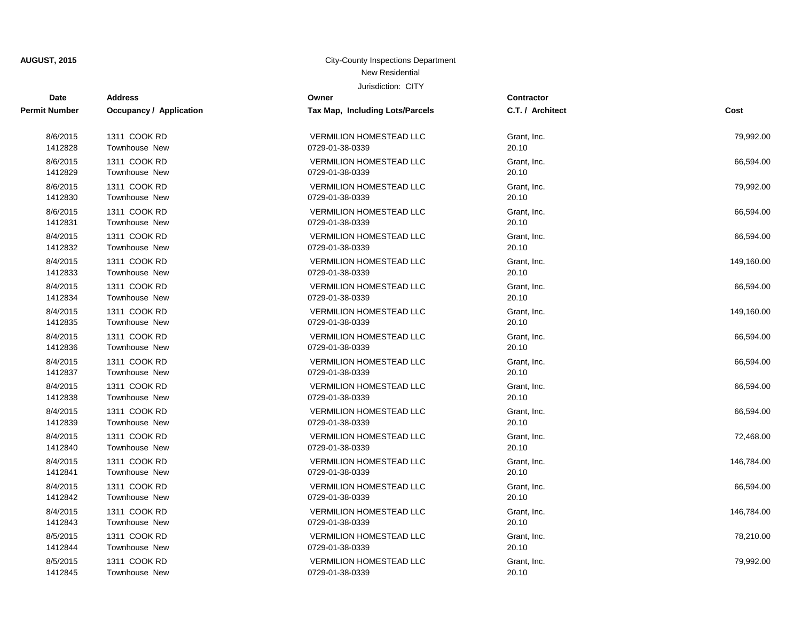| <b>Date</b>          | <b>Address</b>                 | Owner                           | Contractor       |            |
|----------------------|--------------------------------|---------------------------------|------------------|------------|
| <b>Permit Number</b> | <b>Occupancy / Application</b> | Tax Map, Including Lots/Parcels | C.T. / Architect | Cost       |
| 8/6/2015             | 1311 COOK RD                   | <b>VERMILION HOMESTEAD LLC</b>  | Grant, Inc.      | 79,992.00  |
| 1412828              | <b>Townhouse New</b>           | 0729-01-38-0339                 | 20.10            |            |
| 8/6/2015             | 1311 COOK RD                   | <b>VERMILION HOMESTEAD LLC</b>  | Grant, Inc.      | 66,594.00  |
| 1412829              | Townhouse New                  | 0729-01-38-0339                 | 20.10            |            |
| 8/6/2015             | 1311 COOK RD                   | <b>VERMILION HOMESTEAD LLC</b>  | Grant, Inc.      | 79,992.00  |
| 1412830              | <b>Townhouse New</b>           | 0729-01-38-0339                 | 20.10            |            |
| 8/6/2015             | 1311 COOK RD                   | <b>VERMILION HOMESTEAD LLC</b>  | Grant, Inc.      | 66,594.00  |
| 1412831              | Townhouse New                  | 0729-01-38-0339                 | 20.10            |            |
| 8/4/2015             | 1311 COOK RD                   | <b>VERMILION HOMESTEAD LLC</b>  | Grant, Inc.      | 66,594.00  |
| 1412832              | <b>Townhouse New</b>           | 0729-01-38-0339                 | 20.10            |            |
| 8/4/2015             | 1311 COOK RD                   | <b>VERMILION HOMESTEAD LLC</b>  | Grant, Inc.      | 149,160.00 |
| 1412833              | Townhouse New                  | 0729-01-38-0339                 | 20.10            |            |
| 8/4/2015             | 1311 COOK RD                   | VERMILION HOMESTEAD LLC         | Grant, Inc.      | 66,594.00  |
| 1412834              | Townhouse New                  | 0729-01-38-0339                 | 20.10            |            |
| 8/4/2015             | 1311 COOK RD                   | <b>VERMILION HOMESTEAD LLC</b>  | Grant, Inc.      | 149,160.00 |
| 1412835              | Townhouse New                  | 0729-01-38-0339                 | 20.10            |            |
| 8/4/2015             | 1311 COOK RD                   | <b>VERMILION HOMESTEAD LLC</b>  | Grant, Inc.      | 66,594.00  |
| 1412836              | Townhouse New                  | 0729-01-38-0339                 | 20.10            |            |
| 8/4/2015             | 1311 COOK RD                   | <b>VERMILION HOMESTEAD LLC</b>  | Grant. Inc.      | 66,594.00  |
| 1412837              | Townhouse New                  | 0729-01-38-0339                 | 20.10            |            |
| 8/4/2015             | 1311 COOK RD                   | <b>VERMILION HOMESTEAD LLC</b>  | Grant, Inc.      | 66,594.00  |
| 1412838              | Townhouse New                  | 0729-01-38-0339                 | 20.10            |            |
| 8/4/2015             | 1311 COOK RD                   | <b>VERMILION HOMESTEAD LLC</b>  | Grant, Inc.      | 66,594.00  |
| 1412839              | Townhouse New                  | 0729-01-38-0339                 | 20.10            |            |
| 8/4/2015             | 1311 COOK RD                   | <b>VERMILION HOMESTEAD LLC</b>  | Grant, Inc.      | 72,468.00  |
| 1412840              | Townhouse New                  | 0729-01-38-0339                 | 20.10            |            |
| 8/4/2015             | 1311 COOK RD                   | <b>VERMILION HOMESTEAD LLC</b>  | Grant, Inc.      | 146,784.00 |
| 1412841              | Townhouse New                  | 0729-01-38-0339                 | 20.10            |            |
| 8/4/2015             | 1311 COOK RD                   | <b>VERMILION HOMESTEAD LLC</b>  | Grant, Inc.      | 66,594.00  |
| 1412842              | Townhouse New                  | 0729-01-38-0339                 | 20.10            |            |
| 8/4/2015             | 1311 COOK RD                   | <b>VERMILION HOMESTEAD LLC</b>  | Grant, Inc.      | 146,784.00 |
| 1412843              | Townhouse New                  | 0729-01-38-0339                 | 20.10            |            |
| 8/5/2015             | 1311 COOK RD                   | <b>VERMILION HOMESTEAD LLC</b>  | Grant, Inc.      | 78,210.00  |
| 1412844              | <b>Townhouse New</b>           | 0729-01-38-0339                 | 20.10            |            |
| 8/5/2015             | 1311 COOK RD                   | <b>VERMILION HOMESTEAD LLC</b>  | Grant, Inc.      | 79,992.00  |
| 1412845              | Townhouse New                  | 0729-01-38-0339                 | 20.10            |            |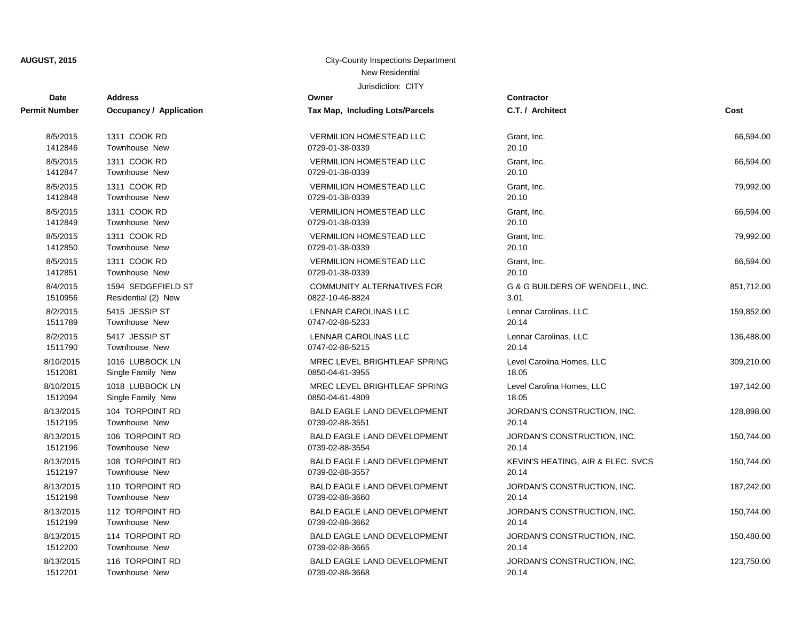| <b>Date</b>   | <b>Address</b>          | Owner                              | <b>Contractor</b>                 |            |
|---------------|-------------------------|------------------------------------|-----------------------------------|------------|
| Permit Number | Occupancy / Application | Tax Map, Including Lots/Parcels    | C.T. / Architect                  | Cost       |
| 8/5/2015      | 1311 COOK RD            | <b>VERMILION HOMESTEAD LLC</b>     | Grant, Inc.                       | 66,594.00  |
| 1412846       | <b>Townhouse New</b>    | 0729-01-38-0339                    | 20.10                             |            |
| 8/5/2015      | 1311 COOK RD            | <b>VERMILION HOMESTEAD LLC</b>     | Grant, Inc.                       | 66,594.00  |
| 1412847       | <b>Townhouse New</b>    | 0729-01-38-0339                    | 20.10                             |            |
| 8/5/2015      | 1311 COOK RD            | <b>VERMILION HOMESTEAD LLC</b>     | Grant, Inc.                       | 79,992.00  |
| 1412848       | <b>Townhouse New</b>    | 0729-01-38-0339                    | 20.10                             |            |
| 8/5/2015      | 1311 COOK RD            | <b>VERMILION HOMESTEAD LLC</b>     | Grant, Inc.                       | 66,594.00  |
| 1412849       | Townhouse New           | 0729-01-38-0339                    | 20.10                             |            |
| 8/5/2015      | 1311 COOK RD            | <b>VERMILION HOMESTEAD LLC</b>     | Grant, Inc.                       | 79,992.00  |
| 1412850       | <b>Townhouse New</b>    | 0729-01-38-0339                    | 20.10                             |            |
| 8/5/2015      | 1311 COOK RD            | <b>VERMILION HOMESTEAD LLC</b>     | Grant, Inc.                       | 66,594.00  |
| 1412851       | Townhouse New           | 0729-01-38-0339                    | 20.10                             |            |
| 8/4/2015      | 1594 SEDGEFIELD ST      | COMMUNITY ALTERNATIVES FOR         | G & G BUILDERS OF WENDELL, INC.   | 851,712.00 |
| 1510956       | Residential (2) New     | 0822-10-46-8824                    | 3.01                              |            |
| 8/2/2015      | 5415 JESSIP ST          | LENNAR CAROLINAS LLC               | Lennar Carolinas, LLC             | 159,852.00 |
| 1511789       | <b>Townhouse New</b>    | 0747-02-88-5233                    | 20.14                             |            |
| 8/2/2015      | 5417 JESSIP ST          | LENNAR CAROLINAS LLC               | Lennar Carolinas, LLC             | 136,488.00 |
| 1511790       | <b>Townhouse New</b>    | 0747-02-88-5215                    | 20.14                             |            |
| 8/10/2015     | 1016 LUBBOCK LN         | MREC LEVEL BRIGHTLEAF SPRING       | Level Carolina Homes, LLC         | 309,210.00 |
| 1512081       | Single Family New       | 0850-04-61-3955                    | 18.05                             |            |
| 8/10/2015     | 1018 LUBBOCK LN         | MREC LEVEL BRIGHTLEAF SPRING       | Level Carolina Homes, LLC         | 197,142.00 |
| 1512094       | Single Family New       | 0850-04-61-4809                    | 18.05                             |            |
| 8/13/2015     | 104 TORPOINT RD         | <b>BALD EAGLE LAND DEVELOPMENT</b> | JORDAN'S CONSTRUCTION, INC.       | 128,898.00 |
| 1512195       | Townhouse New           | 0739-02-88-3551                    | 20.14                             |            |
| 8/13/2015     | 106 TORPOINT RD         | <b>BALD EAGLE LAND DEVELOPMENT</b> | JORDAN'S CONSTRUCTION, INC.       | 150,744.00 |
| 1512196       | <b>Townhouse New</b>    | 0739-02-88-3554                    | 20.14                             |            |
| 8/13/2015     | 108 TORPOINT RD         | BALD EAGLE LAND DEVELOPMENT        | KEVIN'S HEATING, AIR & ELEC. SVCS | 150,744.00 |
| 1512197       | <b>Townhouse New</b>    | 0739-02-88-3557                    | 20.14                             |            |
| 8/13/2015     | 110 TORPOINT RD         | <b>BALD EAGLE LAND DEVELOPMENT</b> | JORDAN'S CONSTRUCTION, INC.       | 187,242.00 |
| 1512198       | Townhouse New           | 0739-02-88-3660                    | 20.14                             |            |
| 8/13/2015     | 112 TORPOINT RD         | <b>BALD EAGLE LAND DEVELOPMENT</b> | JORDAN'S CONSTRUCTION, INC.       | 150,744.00 |
| 1512199       | <b>Townhouse New</b>    | 0739-02-88-3662                    | 20.14                             |            |
| 8/13/2015     | 114 TORPOINT RD         | <b>BALD EAGLE LAND DEVELOPMENT</b> | JORDAN'S CONSTRUCTION, INC.       | 150,480.00 |
| 1512200       | Townhouse New           | 0739-02-88-3665                    | 20.14                             |            |
| 8/13/2015     | 116 TORPOINT RD         | <b>BALD EAGLE LAND DEVELOPMENT</b> | JORDAN'S CONSTRUCTION, INC.       | 123,750.00 |
| 1512201       | <b>Townhouse New</b>    | 0739-02-88-3668                    | 20.14                             |            |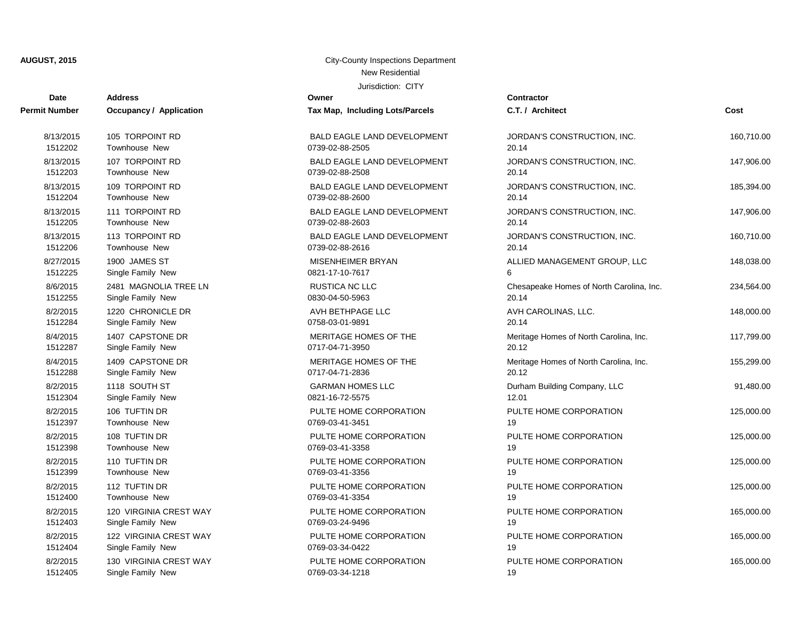| Date                 | <b>Address</b>                 | Owner                              | Contractor       |
|----------------------|--------------------------------|------------------------------------|------------------|
| <b>Permit Number</b> | <b>Occupancy / Application</b> | Tax Map, Including Lots/Parcels    | C.T. / Arch      |
| 8/13/2015            | 105 TORPOINT RD                | <b>BALD EAGLE LAND DEVELOPMENT</b> | <b>JORDAN'S</b>  |
| 1512202              | <b>Townhouse New</b>           | 0739-02-88-2505                    | 20.14            |
| 8/13/2015            | 107 TORPOINT RD                | <b>BALD EAGLE LAND DEVELOPMENT</b> | <b>JORDAN'S</b>  |
| 1512203              | <b>Townhouse New</b>           | 0739-02-88-2508                    | 20.14            |
| 8/13/2015            | 109 TORPOINT RD                | <b>BALD EAGLE LAND DEVELOPMENT</b> | <b>JORDAN'S</b>  |
| 1512204              | <b>Townhouse New</b>           | 0739-02-88-2600                    | 20.14            |
| 8/13/2015            | 111 TORPOINT RD                | <b>BALD EAGLE LAND DEVELOPMENT</b> | <b>JORDAN'S</b>  |
| 1512205              | Townhouse New                  | 0739-02-88-2603                    | 20.14            |
| 8/13/2015            | 113 TORPOINT RD                | <b>BALD EAGLE LAND DEVELOPMENT</b> | <b>JORDAN'S</b>  |
| 1512206              | Townhouse New                  | 0739-02-88-2616                    | 20.14            |
| 8/27/2015            | 1900 JAMES ST                  | <b>MISENHEIMER BRYAN</b>           | <b>ALLIED MA</b> |
| 1512225              | Single Family New              | 0821-17-10-7617                    | 6                |
| 8/6/2015             | 2481 MAGNOLIA TREE LN          | RUSTICA NC LLC                     | Chesapeak        |
| 1512255              | Single Family New              | 0830-04-50-5963                    | 20.14            |
| 8/2/2015             | 1220 CHRONICLE DR              | AVH BETHPAGE LLC                   | <b>AVH CARC</b>  |
| 1512284              | Single Family New              | 0758-03-01-9891                    | 20.14            |
| 8/4/2015             | 1407 CAPSTONE DR               | MERITAGE HOMES OF THE              | Meritage H       |
| 1512287              | Single Family New              | 0717-04-71-3950                    | 20.12            |
| 8/4/2015             | 1409 CAPSTONE DR               | MERITAGE HOMES OF THE              | Meritage H       |
| 1512288              | Single Family New              | 0717-04-71-2836                    | 20.12            |
| 8/2/2015             | 1118 SOUTH ST                  | <b>GARMAN HOMES LLC</b>            | Durham Bu        |
| 1512304              | Single Family New              | 0821-16-72-5575                    | 12.01            |
| 8/2/2015             | 106 TUFTIN DR                  | PULTE HOME CORPORATION             | PULTE HO         |
| 1512397              | <b>Townhouse New</b>           | 0769-03-41-3451                    | 19               |
| 8/2/2015             | 108 TUFTIN DR                  | PULTE HOME CORPORATION             | PULTE HO         |
| 1512398              | <b>Townhouse New</b>           | 0769-03-41-3358                    | 19               |
| 8/2/2015             | 110 TUFTIN DR                  | PULTE HOME CORPORATION             | PULTE HO         |
| 1512399              | <b>Townhouse New</b>           | 0769-03-41-3356                    | 19               |
| 8/2/2015             | 112 TUFTIN DR                  | PULTE HOME CORPORATION             | PULTE HO         |
| 1512400              | Townhouse New                  | 0769-03-41-3354                    | 19               |
| 8/2/2015             | 120 VIRGINIA CREST WAY         | PULTE HOME CORPORATION             | PULTE HO         |
| 1512403              | Single Family New              | 0769-03-24-9496                    | 19               |
| 8/2/2015             | 122 VIRGINIA CREST WAY         | PULTE HOME CORPORATION             | PULTE HO         |
| 1512404              | Single Family New              | 0769-03-34-0422                    | 19               |
| 8/2/2015             | 130 VIRGINIA CREST WAY         | PULTE HOME CORPORATION             | PULTE HO         |

| 8/13/2015 | 105 TORPOINT RD        | <b>BALD EAGLE LAND DEVELOPMENT</b> | <b>JO</b> |
|-----------|------------------------|------------------------------------|-----------|
| 1512202   | Townhouse New          | 0739-02-88-2505                    | 20.       |
| 8/13/2015 | 107 TORPOINT RD        | <b>BALD EAGLE LAND DEVELOPMENT</b> | <b>JO</b> |
| 1512203   | <b>Townhouse New</b>   | 0739-02-88-2508                    | 20.       |
| 8/13/2015 | 109 TORPOINT RD        | <b>BALD EAGLE LAND DEVELOPMENT</b> | <b>JO</b> |
| 1512204   | Townhouse New          | 0739-02-88-2600                    | 20.       |
| 8/13/2015 | 111 TORPOINT RD        | <b>BALD EAGLE LAND DEVELOPMENT</b> | <b>JO</b> |
| 1512205   | <b>Townhouse New</b>   | 0739-02-88-2603                    | 20.       |
| 8/13/2015 | 113 TORPOINT RD        | BALD EAGLE LAND DEVELOPMENT        | <b>JO</b> |
| 1512206   | Townhouse New          | 0739-02-88-2616                    | 20.       |
| 8/27/2015 | 1900 JAMES ST          | <b>MISENHEIMER BRYAN</b>           | ALI       |
| 1512225   | Single Family New      | 0821-17-10-7617                    | 6         |
| 8/6/2015  | 2481 MAGNOLIA TREE LN  | RUSTICA NC LLC                     | Ch        |
| 1512255   | Single Family New      | 0830-04-50-5963                    | 20.       |
| 8/2/2015  | 1220 CHRONICLE DR      | AVH BETHPAGE LLC                   | AV        |
| 1512284   | Single Family New      | 0758-03-01-9891                    | 20.       |
| 8/4/2015  | 1407 CAPSTONE DR       | MERITAGE HOMES OF THE              | Me        |
| 1512287   | Single Family New      | 0717-04-71-3950                    | 20.       |
| 8/4/2015  | 1409 CAPSTONE DR       | MERITAGE HOMES OF THE              | Me        |
| 1512288   | Single Family New      | 0717-04-71-2836                    | 20.       |
| 8/2/2015  | 1118 SOUTH ST          | <b>GARMAN HOMES LLC</b>            | Du        |
| 1512304   | Single Family New      | 0821-16-72-5575                    | 12.       |
| 8/2/2015  | 106 TUFTIN DR          | PULTE HOME CORPORATION             | PU        |
| 1512397   | Townhouse New          | 0769-03-41-3451                    | 19        |
| 8/2/2015  | 108 TUFTIN DR          | PULTE HOME CORPORATION             | PU        |
| 1512398   | Townhouse New          | 0769-03-41-3358                    | 19        |
| 8/2/2015  | 110 TUFTIN DR          | PULTE HOME CORPORATION             | PU        |
| 1512399   | Townhouse New          | 0769-03-41-3356                    | 19        |
| 8/2/2015  | 112 TUFTIN DR          | PULTE HOME CORPORATION             | PU        |
| 1512400   | Townhouse New          | 0769-03-41-3354                    | 19        |
| 8/2/2015  | 120 VIRGINIA CREST WAY | PULTE HOME CORPORATION             | PU        |
| 1512403   | Single Family New      | 0769-03-24-9496                    | 19        |
| 8/2/2015  | 122 VIRGINIA CREST WAY | PULTE HOME CORPORATION             | PU        |
| 1512404   | Single Family New      | 0769-03-34-0422                    | 19        |
| 8/2/2015  | 130 VIRGINIA CREST WAY | PULTE HOME CORPORATION             | PU        |
| 1512405   | Single Family New      | 0769-03-34-1218                    | 19        |

| Date                | Address                                         | ∪wner                                     | Contractor                               |            |
|---------------------|-------------------------------------------------|-------------------------------------------|------------------------------------------|------------|
| t Number            | Occupancy / Application                         | Tax Map, Including Lots/Parcels           | C.T. / Architect                         | Cost       |
| 8/13/2015           | 105 TORPOINT RD                                 | BALD EAGLE LAND DEVELOPMENT               | JORDAN'S CONSTRUCTION, INC.              | 160,710.00 |
| 1512202             | Townhouse New                                   | 0739-02-88-2505                           | 20.14                                    |            |
| 8/13/2015           | 107 TORPOINT RD                                 | BALD EAGLE LAND DEVELOPMENT               | JORDAN'S CONSTRUCTION, INC.              | 147,906.00 |
| 1512203             | <b>Townhouse New</b>                            | 0739-02-88-2508                           | 20.14                                    |            |
| 8/13/2015           | 109 TORPOINT RD                                 | BALD EAGLE LAND DEVELOPMENT               | JORDAN'S CONSTRUCTION, INC.              | 185,394.00 |
| 1512204             | Townhouse New                                   | 0739-02-88-2600                           | 20.14                                    |            |
| 8/13/2015           | 111 TORPOINT RD                                 | <b>BALD EAGLE LAND DEVELOPMENT</b>        | JORDAN'S CONSTRUCTION, INC.              | 147,906.00 |
| 1512205             | <b>Townhouse New</b>                            | 0739-02-88-2603                           | 20.14                                    |            |
| 8/13/2015           | 113 TORPOINT RD                                 | BALD EAGLE LAND DEVELOPMENT               | JORDAN'S CONSTRUCTION, INC.              | 160,710.00 |
| 1512206             | Townhouse New                                   | 0739-02-88-2616                           | 20.14                                    |            |
| 8/27/2015           | 1900 JAMES ST                                   | <b>MISENHEIMER BRYAN</b>                  | ALLIED MANAGEMENT GROUP, LLC             | 148,038.00 |
| 1512225             | Single Family New                               | 0821-17-10-7617                           | 6                                        |            |
| 8/6/2015            | 2481 MAGNOLIA TREE LN                           | <b>RUSTICA NC LLC</b>                     | Chesapeake Homes of North Carolina, Inc. | 234,564.00 |
| 1512255             | Single Family New                               | 0830-04-50-5963                           | 20.14                                    |            |
| 8/2/2015            | 1220 CHRONICLE DR                               | AVH BETHPAGE LLC                          | AVH CAROLINAS, LLC.                      | 148,000.00 |
| 1512284             | Single Family New                               | 0758-03-01-9891                           | 20.14                                    |            |
| 8/4/2015            | 1407 CAPSTONE DR                                | MERITAGE HOMES OF THE                     | Meritage Homes of North Carolina, Inc.   | 117,799.00 |
| 1512287             | Single Family New                               | 0717-04-71-3950                           | 20.12                                    |            |
| 8/4/2015            | 1409 CAPSTONE DR                                | MERITAGE HOMES OF THE                     | Meritage Homes of North Carolina, Inc.   | 155,299.00 |
| 1512288             | Single Family New                               | 0717-04-71-2836                           | 20.12                                    |            |
| 8/2/2015            | 1118 SOUTH ST                                   | <b>GARMAN HOMES LLC</b>                   | Durham Building Company, LLC             | 91,480.00  |
| 1512304             | Single Family New                               | 0821-16-72-5575                           | 12.01                                    |            |
| 8/2/2015            | 106 TUFTIN DR                                   | PULTE HOME CORPORATION                    | PULTE HOME CORPORATION                   | 125,000.00 |
| 1512397             | Townhouse New                                   | 0769-03-41-3451                           | 19                                       |            |
| 8/2/2015            | 108 TUFTIN DR                                   | PULTE HOME CORPORATION                    | PULTE HOME CORPORATION                   | 125,000.00 |
| 1512398             | Townhouse New                                   | 0769-03-41-3358                           | 19                                       |            |
| 8/2/2015            | 110 TUFTIN DR                                   | PULTE HOME CORPORATION                    | PULTE HOME CORPORATION                   | 125,000.00 |
| 1512399             | Townhouse New                                   | 0769-03-41-3356                           | 19                                       |            |
| 8/2/2015            | 112 TUFTIN DR                                   | PULTE HOME CORPORATION                    | PULTE HOME CORPORATION                   | 125,000.00 |
| 1512400             | <b>Townhouse New</b>                            | 0769-03-41-3354                           | 19                                       |            |
| 8/2/2015            | 120 VIRGINIA CREST WAY                          | PULTE HOME CORPORATION                    | PULTE HOME CORPORATION                   | 165,000.00 |
| 1512403             | Single Family New                               | 0769-03-24-9496                           | 19                                       |            |
| 8/2/2015            | 122 VIRGINIA CREST WAY                          | PULTE HOME CORPORATION                    | PULTE HOME CORPORATION                   | 165,000.00 |
| 1512404             | Single Family New                               | 0769-03-34-0422                           | 19                                       |            |
| 8/2/2015<br>ATA0A0F | 130 VIRGINIA CREST WAY<br>Obesite Family, March | PULTE HOME CORPORATION<br>0700.02.34.4040 | PULTE HOME CORPORATION                   | 165,000.00 |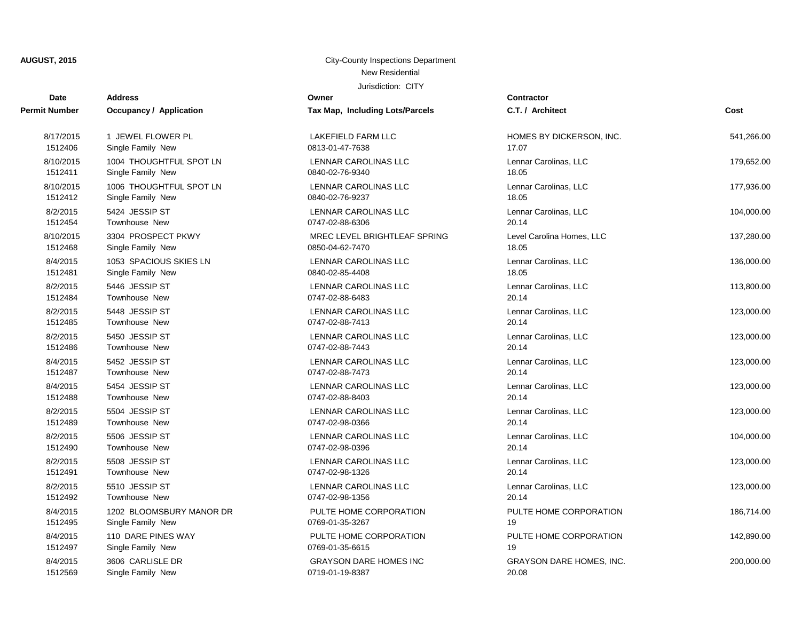| <b>Date</b>   | <b>Address</b>                 | Owner                           | Contractor                      |            |
|---------------|--------------------------------|---------------------------------|---------------------------------|------------|
| Permit Number | <b>Occupancy / Application</b> | Tax Map, Including Lots/Parcels | C.T. / Architect                | Cost       |
| 8/17/2015     | 1 JEWEL FLOWER PL              | <b>LAKEFIELD FARM LLC</b>       | HOMES BY DICKERSON, INC.        | 541,266.00 |
| 1512406       | Single Family New              | 0813-01-47-7638                 | 17.07                           |            |
| 8/10/2015     | 1004 THOUGHTFUL SPOT LN        | LENNAR CAROLINAS LLC            | Lennar Carolinas, LLC           | 179,652.00 |
| 1512411       | Single Family New              | 0840-02-76-9340                 | 18.05                           |            |
| 8/10/2015     | 1006 THOUGHTFUL SPOT LN        | <b>LENNAR CAROLINAS LLC</b>     | Lennar Carolinas, LLC           | 177,936.00 |
| 1512412       | Single Family New              | 0840-02-76-9237                 | 18.05                           |            |
| 8/2/2015      | 5424 JESSIP ST                 | LENNAR CAROLINAS LLC            | Lennar Carolinas, LLC           | 104,000.00 |
| 1512454       | Townhouse New                  | 0747-02-88-6306                 | 20.14                           |            |
| 8/10/2015     | 3304 PROSPECT PKWY             | MREC LEVEL BRIGHTLEAF SPRING    | Level Carolina Homes, LLC       | 137,280.00 |
| 1512468       | Single Family New              | 0850-04-62-7470                 | 18.05                           |            |
| 8/4/2015      | 1053 SPACIOUS SKIES LN         | <b>LENNAR CAROLINAS LLC</b>     | Lennar Carolinas, LLC           | 136,000.00 |
| 1512481       | Single Family New              | 0840-02-85-4408                 | 18.05                           |            |
| 8/2/2015      | 5446 JESSIP ST                 | <b>LENNAR CAROLINAS LLC</b>     | Lennar Carolinas, LLC           | 113,800.00 |
| 1512484       | Townhouse New                  | 0747-02-88-6483                 | 20.14                           |            |
| 8/2/2015      | 5448 JESSIP ST                 | LENNAR CAROLINAS LLC            | Lennar Carolinas, LLC           | 123,000.00 |
| 1512485       | Townhouse New                  | 0747-02-88-7413                 | 20.14                           |            |
| 8/2/2015      | 5450 JESSIP ST                 | LENNAR CAROLINAS LLC            | Lennar Carolinas, LLC           | 123,000.00 |
| 1512486       | Townhouse New                  | 0747-02-88-7443                 | 20.14                           |            |
| 8/4/2015      | 5452 JESSIP ST                 | LENNAR CAROLINAS LLC            | Lennar Carolinas, LLC           | 123,000.00 |
| 1512487       | Townhouse New                  | 0747-02-88-7473                 | 20.14                           |            |
| 8/4/2015      | 5454 JESSIP ST                 | LENNAR CAROLINAS LLC            | Lennar Carolinas, LLC           | 123,000.00 |
| 1512488       | Townhouse New                  | 0747-02-88-8403                 | 20.14                           |            |
| 8/2/2015      | 5504 JESSIP ST                 | LENNAR CAROLINAS LLC            | Lennar Carolinas, LLC           | 123,000.00 |
| 1512489       | Townhouse New                  | 0747-02-98-0366                 | 20.14                           |            |
| 8/2/2015      | 5506 JESSIP ST                 | LENNAR CAROLINAS LLC            | Lennar Carolinas, LLC           | 104,000.00 |
| 1512490       | Townhouse New                  | 0747-02-98-0396                 | 20.14                           |            |
| 8/2/2015      | 5508 JESSIP ST                 | LENNAR CAROLINAS LLC            | Lennar Carolinas, LLC           | 123,000.00 |
| 1512491       | Townhouse New                  | 0747-02-98-1326                 | 20.14                           |            |
| 8/2/2015      | 5510 JESSIP ST                 | LENNAR CAROLINAS LLC            | Lennar Carolinas, LLC           | 123,000.00 |
| 1512492       | Townhouse New                  | 0747-02-98-1356                 | 20.14                           |            |
| 8/4/2015      | 1202 BLOOMSBURY MANOR DR       | PULTE HOME CORPORATION          | PULTE HOME CORPORATION          | 186,714.00 |
| 1512495       | Single Family New              | 0769-01-35-3267                 | 19                              |            |
| 8/4/2015      | 110 DARE PINES WAY             | PULTE HOME CORPORATION          | PULTE HOME CORPORATION          | 142,890.00 |
| 1512497       | Single Family New              | 0769-01-35-6615                 | 19                              |            |
| 8/4/2015      | 3606 CARLISLE DR               | <b>GRAYSON DARE HOMES INC</b>   | <b>GRAYSON DARE HOMES, INC.</b> | 200,000.00 |
| 1512569       | Single Family New              | 0719-01-19-8387                 | 20.08                           |            |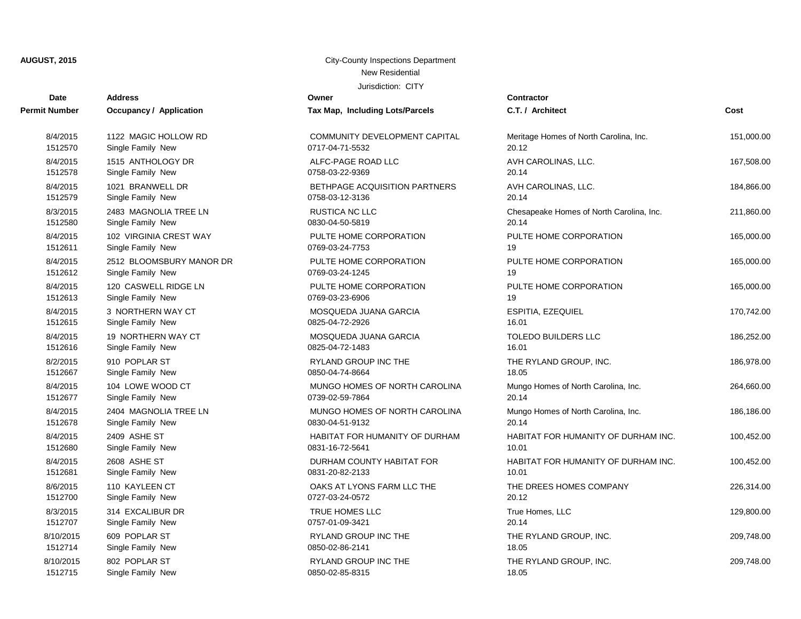| <b>Date</b>          | <b>Address</b>                 | Owner                           | <b>Contractor</b>                        |            |
|----------------------|--------------------------------|---------------------------------|------------------------------------------|------------|
| <b>Permit Number</b> | <b>Occupancy / Application</b> | Tax Map, Including Lots/Parcels | C.T. / Architect                         | Cost       |
| 8/4/2015             | 1122 MAGIC HOLLOW RD           | COMMUNITY DEVELOPMENT CAPITAL   | Meritage Homes of North Carolina, Inc.   | 151,000.00 |
| 1512570              | Single Family New              | 0717-04-71-5532                 | 20.12                                    |            |
| 8/4/2015             | 1515 ANTHOLOGY DR              | ALFC-PAGE ROAD LLC              | AVH CAROLINAS, LLC.                      | 167,508.00 |
| 1512578              | Single Family New              | 0758-03-22-9369                 | 20.14                                    |            |
| 8/4/2015             | 1021 BRANWELL DR               | BETHPAGE ACQUISITION PARTNERS   | AVH CAROLINAS, LLC.                      | 184,866.00 |
| 1512579              | Single Family New              | 0758-03-12-3136                 | 20.14                                    |            |
| 8/3/2015             | 2483 MAGNOLIA TREE LN          | <b>RUSTICA NC LLC</b>           | Chesapeake Homes of North Carolina, Inc. | 211,860.00 |
| 1512580              | Single Family New              | 0830-04-50-5819                 | 20.14                                    |            |
| 8/4/2015             | 102 VIRGINIA CREST WAY         | PULTE HOME CORPORATION          | PULTE HOME CORPORATION                   | 165,000.00 |
| 1512611              | Single Family New              | 0769-03-24-7753                 | 19                                       |            |
| 8/4/2015             | 2512 BLOOMSBURY MANOR DR       | PULTE HOME CORPORATION          | PULTE HOME CORPORATION                   | 165,000.00 |
| 1512612              | Single Family New              | 0769-03-24-1245                 | 19                                       |            |
| 8/4/2015             | 120 CASWELL RIDGE LN           | PULTE HOME CORPORATION          | PULTE HOME CORPORATION                   | 165,000.00 |
| 1512613              | Single Family New              | 0769-03-23-6906                 | 19                                       |            |
| 8/4/2015             | 3 NORTHERN WAY CT              | MOSQUEDA JUANA GARCIA           | ESPITIA, EZEQUIEL                        | 170,742.00 |
| 1512615              | Single Family New              | 0825-04-72-2926                 | 16.01                                    |            |
| 8/4/2015             | 19 NORTHERN WAY CT             | MOSQUEDA JUANA GARCIA           | <b>TOLEDO BUILDERS LLC</b>               | 186,252.00 |
| 1512616              | Single Family New              | 0825-04-72-1483                 | 16.01                                    |            |
| 8/2/2015             | 910 POPLAR ST                  | <b>RYLAND GROUP INC THE</b>     | THE RYLAND GROUP, INC.                   | 186,978.00 |
| 1512667              | Single Family New              | 0850-04-74-8664                 | 18.05                                    |            |
| 8/4/2015             | 104 LOWE WOOD CT               | MUNGO HOMES OF NORTH CAROLINA   | Mungo Homes of North Carolina, Inc.      | 264,660.00 |
| 1512677              | Single Family New              | 0739-02-59-7864                 | 20.14                                    |            |
| 8/4/2015             | 2404 MAGNOLIA TREE LN          | MUNGO HOMES OF NORTH CAROLINA   | Mungo Homes of North Carolina, Inc.      | 186,186.00 |
| 1512678              | Single Family New              | 0830-04-51-9132                 | 20.14                                    |            |
| 8/4/2015             | 2409 ASHE ST                   | HABITAT FOR HUMANITY OF DURHAM  | HABITAT FOR HUMANITY OF DURHAM INC.      | 100,452.00 |
| 1512680              | Single Family New              | 0831-16-72-5641                 | 10.01                                    |            |
| 8/4/2015             | 2608 ASHE ST                   | DURHAM COUNTY HABITAT FOR       | HABITAT FOR HUMANITY OF DURHAM INC.      | 100,452.00 |
| 1512681              | Single Family New              | 0831-20-82-2133                 | 10.01                                    |            |
| 8/6/2015             | 110 KAYLEEN CT                 | OAKS AT LYONS FARM LLC THE      | THE DREES HOMES COMPANY                  | 226,314.00 |
| 1512700              | Single Family New              | 0727-03-24-0572                 | 20.12                                    |            |
| 8/3/2015             | 314 EXCALIBUR DR               | TRUE HOMES LLC                  | True Homes, LLC                          | 129,800.00 |
| 1512707              | Single Family New              | 0757-01-09-3421                 | 20.14                                    |            |
| 8/10/2015            | 609 POPLAR ST                  | RYLAND GROUP INC THE            | THE RYLAND GROUP, INC.                   | 209,748.00 |
| 1512714              | Single Family New              | 0850-02-86-2141                 | 18.05                                    |            |
| 8/10/2015            | 802 POPLAR ST                  | RYLAND GROUP INC THE            | THE RYLAND GROUP, INC.                   | 209,748.00 |
| 1512715              | Single Family New              | 0850-02-85-8315                 | 18.05                                    |            |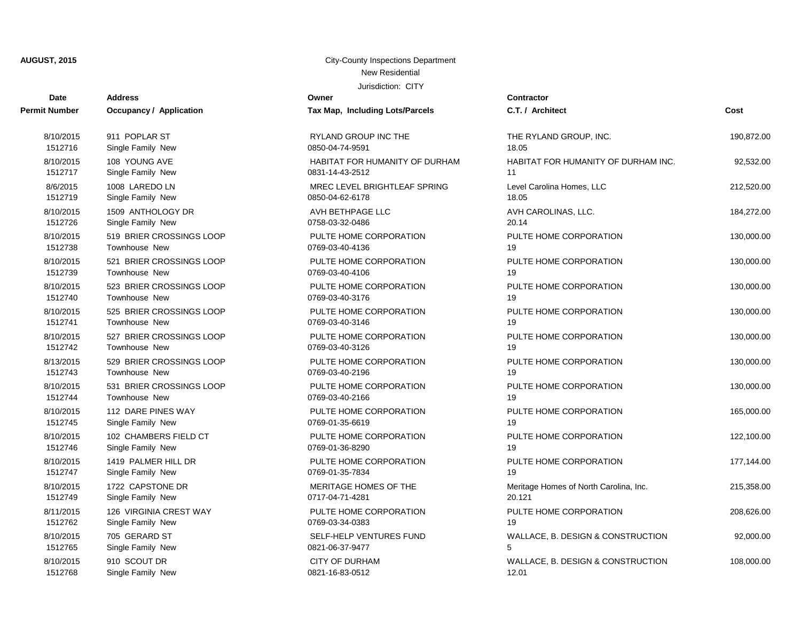**Owner** 

| Date                 | <b>Address</b>                 | Owner                           | Contractor         |
|----------------------|--------------------------------|---------------------------------|--------------------|
| <b>Permit Number</b> | <b>Occupancy / Application</b> | Tax Map, Including Lots/Parcels | C.T. / Arch        |
| 8/10/2015            | 911 POPLAR ST                  | RYLAND GROUP INC THE            | <b>THE RYLA</b>    |
| 1512716              | Single Family New              | 0850-04-74-9591                 | 18.05              |
| 8/10/2015            | 108 YOUNG AVE                  | HABITAT FOR HUMANITY OF DURHAM  | <b>HABITAT F</b>   |
| 1512717              | Single Family New              | 0831-14-43-2512                 | 11                 |
| 8/6/2015             | 1008 LAREDO LN                 | MREC LEVEL BRIGHTLEAF SPRING    | <b>Level Carol</b> |
| 1512719              | Single Family New              | 0850-04-62-6178                 | 18.05              |
| 8/10/2015            | 1509 ANTHOLOGY DR              | AVH BETHPAGE LLC                | <b>AVH CARC</b>    |
| 1512726              | Single Family New              | 0758-03-32-0486                 | 20.14              |
| 8/10/2015            | 519 BRIER CROSSINGS LOOP       | PULTE HOME CORPORATION          | PULTE HO           |
| 1512738              | Townhouse New                  | 0769-03-40-4136                 | 19                 |
| 8/10/2015            | 521 BRIER CROSSINGS LOOP       | PULTE HOME CORPORATION          | PULTE HO           |
| 1512739              | Townhouse New                  | 0769-03-40-4106                 | 19                 |
| 8/10/2015            | 523 BRIER CROSSINGS LOOP       | PULTE HOME CORPORATION          | PULTE HO           |
| 1512740              | Townhouse New                  | 0769-03-40-3176                 | 19                 |
| 8/10/2015            | 525 BRIER CROSSINGS LOOP       | PULTE HOME CORPORATION          | PULTE HO           |
| 1512741              | Townhouse New                  | 0769-03-40-3146                 | 19                 |
| 8/10/2015            | 527 BRIER CROSSINGS LOOP       | PULTE HOME CORPORATION          | PULTE HO           |
| 1512742              | Townhouse New                  | 0769-03-40-3126                 | 19                 |
| 8/13/2015            | 529 BRIER CROSSINGS LOOP       | PULTE HOME CORPORATION          | PULTE HO           |
| 1512743              | Townhouse New                  | 0769-03-40-2196                 | 19                 |
| 8/10/2015            | 531 BRIER CROSSINGS LOOP       | PULTE HOME CORPORATION          | PULTE HO           |
| 1512744              | Townhouse New                  | 0769-03-40-2166                 | 19                 |
| 8/10/2015            | 112 DARE PINES WAY             | PULTE HOME CORPORATION          | PULTE HO           |
| 1512745              | Single Family New              | 0769-01-35-6619                 | 19                 |
| 8/10/2015            | 102 CHAMBERS FIELD CT          | PULTE HOME CORPORATION          | PULTE HO           |
| 1512746              | Single Family New              | 0769-01-36-8290                 | 19                 |
| 8/10/2015            | 1419 PALMER HILL DR            | PULTE HOME CORPORATION          | PULTE HO           |
| 1512747              | Single Family New              | 0769-01-35-7834                 | 19                 |
| 8/10/2015            | 1722 CAPSTONE DR               | MERITAGE HOMES OF THE           | Meritage H         |
| 1512749              | Single Family New              | 0717-04-71-4281                 | 20.121             |
| 8/11/2015            | 126 VIRGINIA CREST WAY         | PULTE HOME CORPORATION          | PULTE HO           |
| 1512762              | Single Family New              | 0769-03-34-0383                 | 19                 |
| 8/10/2015            | 705 GERARD ST                  | SELF-HELP VENTURES FUND         | WALLACE,           |
| 1512765              | Single Family New              | 0821-06-37-9477                 | 5                  |
| 8/10/2015            | 910 SCOUT DR                   | <b>CITY OF DURHAM</b>           | WALLACE,           |
| 1512768              | Single Family New              | 0821-16-83-0512                 | 12.01              |

| NTLAIND GNOUF TING<br>0850-04-74-9591            |
|--------------------------------------------------|
| HABITAT FOR HUMANITY OF DURHA<br>0831-14-43-2512 |
| MREC LEVEL BRIGHTLEAF SPRING<br>0850-04-62-6178  |
| <b>AVH BETHPAGE LLC</b><br>0758-03-32-0486       |
| PULTE HOME CORPORATION<br>0769-03-40-4136        |
| PULTE HOME CORPORATION<br>0769-03-40-4106        |
| PULTE HOME CORPORATION<br>0769-03-40-3176        |
| PULTE HOME CORPORATION<br>0769-03-40-3146        |
| PULTE HOME CORPORATION<br>0769-03-40-3126        |
| PULTE HOME CORPORATION<br>0769-03-40-2196        |
| PULTE HOME CORPORATION<br>0769-03-40-2166        |
| PULTE HOME CORPORATION<br>0769-01-35-6619        |
| PULTE HOME CORPORATION<br>0769-01-36-8290        |
| PULTE HOME CORPORATION<br>0769-01-35-7834        |
| <b>MERITAGE HOMES OF THE</b><br>0717-04-71-4281  |
| PULTE HOME CORPORATION<br>0769-03-34-0383        |
| SELF-HELP VENTURES FUND<br>0821-06-37-9477       |
| <b>CITY OF DURHAM</b>                            |

| t Number             | <b>Occupancy / Application</b>     | Tax Map, Including Lots/Parcels            | C.T. / Architect                       | Cost       |
|----------------------|------------------------------------|--------------------------------------------|----------------------------------------|------------|
| 8/10/2015            | 911 POPLAR ST                      | RYLAND GROUP INC THE                       | THE RYLAND GROUP, INC.                 | 190,872.00 |
| 1512716              | Single Family New                  | 0850-04-74-9591                            | 18.05                                  |            |
| 8/10/2015            | 108 YOUNG AVE                      | HABITAT FOR HUMANITY OF DURHAM             | HABITAT FOR HUMANITY OF DURHAM INC.    | 92,532.00  |
| 1512717              | Single Family New                  | 0831-14-43-2512                            | 11                                     |            |
| 8/6/2015             | 1008 LAREDO LN                     | MREC LEVEL BRIGHTLEAF SPRING               | Level Carolina Homes, LLC              | 212,520.00 |
| 1512719              | Single Family New                  | 0850-04-62-6178                            | 18.05                                  |            |
| 8/10/2015            | 1509 ANTHOLOGY DR                  | AVH BETHPAGE LLC                           | AVH CAROLINAS, LLC.                    | 184,272.00 |
| 1512726              | Single Family New                  | 0758-03-32-0486                            | 20.14                                  |            |
| 8/10/2015            | 519 BRIER CROSSINGS LOOP           | PULTE HOME CORPORATION                     | PULTE HOME CORPORATION                 | 130,000.00 |
| 1512738              | Townhouse New                      | 0769-03-40-4136                            | 19                                     |            |
| 8/10/2015            | 521 BRIER CROSSINGS LOOP           | PULTE HOME CORPORATION                     | PULTE HOME CORPORATION                 | 130,000.00 |
| 1512739              | Townhouse New                      | 0769-03-40-4106                            | 19                                     |            |
| 8/10/2015            | 523 BRIER CROSSINGS LOOP           | PULTE HOME CORPORATION                     | PULTE HOME CORPORATION                 | 130,000.00 |
| 1512740              | Townhouse New                      | 0769-03-40-3176                            | 19                                     |            |
| 8/10/2015            | 525 BRIER CROSSINGS LOOP           | PULTE HOME CORPORATION                     | PULTE HOME CORPORATION                 | 130,000.00 |
| 1512741              | Townhouse New                      | 0769-03-40-3146                            | 19                                     |            |
| 8/10/2015            | 527 BRIER CROSSINGS LOOP           | PULTE HOME CORPORATION                     | PULTE HOME CORPORATION                 | 130,000.00 |
| 1512742              | Townhouse New                      | 0769-03-40-3126                            | 19                                     |            |
| 8/13/2015            | 529 BRIER CROSSINGS LOOP           | PULTE HOME CORPORATION                     | PULTE HOME CORPORATION                 | 130,000.00 |
| 1512743              | Townhouse New                      | 0769-03-40-2196                            | 19                                     |            |
| 8/10/2015            | 531 BRIER CROSSINGS LOOP           | PULTE HOME CORPORATION                     | PULTE HOME CORPORATION                 | 130,000.00 |
| 1512744              | Townhouse New                      | 0769-03-40-2166                            | 19                                     |            |
| 8/10/2015            | 112 DARE PINES WAY                 | PULTE HOME CORPORATION                     | PULTE HOME CORPORATION                 | 165,000.00 |
| 1512745              | Single Family New                  | 0769-01-35-6619                            | 19                                     |            |
| 8/10/2015            | 102 CHAMBERS FIELD CT              | PULTE HOME CORPORATION                     | PULTE HOME CORPORATION                 | 122,100.00 |
| 1512746              | Single Family New                  | 0769-01-36-8290                            | 19                                     |            |
| 8/10/2015            | 1419 PALMER HILL DR                | PULTE HOME CORPORATION                     | PULTE HOME CORPORATION                 | 177,144.00 |
| 1512747              | Single Family New                  | 0769-01-35-7834                            | 19                                     |            |
| 8/10/2015            | 1722 CAPSTONE DR                   | MERITAGE HOMES OF THE                      | Meritage Homes of North Carolina, Inc. | 215,358.00 |
| 1512749              | Single Family New                  | 0717-04-71-4281                            | 20.121                                 |            |
| 8/11/2015            | 126 VIRGINIA CREST WAY             | PULTE HOME CORPORATION                     | PULTE HOME CORPORATION                 | 208,626.00 |
| 1512762              | Single Family New                  | 0769-03-34-0383                            | 19                                     |            |
| 8/10/2015<br>1512765 | 705 GERARD ST<br>Single Family New | SELF-HELP VENTURES FUND<br>0821-06-37-9477 | WALLACE, B. DESIGN & CONSTRUCTION      | 92,000.00  |
| 8/10/2015            | 910 SCOUT DR                       | <b>CITY OF DURHAM</b>                      | WALLACE, B. DESIGN & CONSTRUCTION      | 108,000.00 |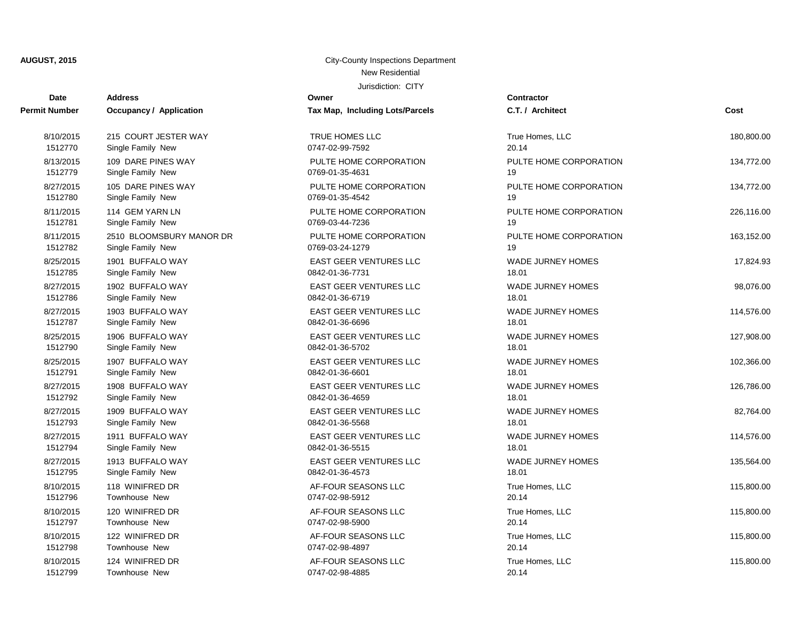| <b>Date</b>          | <b>Address</b>           | Owner                           | Contractor       |
|----------------------|--------------------------|---------------------------------|------------------|
| <b>Permit Number</b> | Occupancy / Application  | Tax Map, Including Lots/Parcels | C.T. / Arch      |
| 8/10/2015            | 215 COURT JESTER WAY     | TRUE HOMES LLC                  | True Home        |
| 1512770              | Single Family New        | 0747-02-99-7592                 | 20.14            |
| 8/13/2015            | 109 DARE PINES WAY       | PULTE HOME CORPORATION          | PULTE HO         |
| 1512779              | Single Family New        | 0769-01-35-4631                 | 19               |
| 8/27/2015            | 105 DARE PINES WAY       | PULTE HOME CORPORATION          | PULTE HO         |
| 1512780              | Single Family New        | 0769-01-35-4542                 | 19               |
| 8/11/2015            | 114 GEM YARN LN          | PULTE HOME CORPORATION          | PULTE HO         |
| 1512781              | Single Family New        | 0769-03-44-7236                 | 19               |
| 8/11/2015            | 2510 BLOOMSBURY MANOR DR | PULTE HOME CORPORATION          | PULTE HO         |
| 1512782              | Single Family New        | 0769-03-24-1279                 | 19               |
| 8/25/2015            | 1901 BUFFALO WAY         | <b>EAST GEER VENTURES LLC</b>   | <b>WADE JUF</b>  |
| 1512785              | Single Family New        | 0842-01-36-7731                 | 18.01            |
| 8/27/2015            | 1902 BUFFALO WAY         | <b>EAST GEER VENTURES LLC</b>   | <b>WADE JUF</b>  |
| 1512786              | Single Family New        | 0842-01-36-6719                 | 18.01            |
| 8/27/2015            | 1903 BUFFALO WAY         | <b>EAST GEER VENTURES LLC</b>   | <b>WADE JUF</b>  |
| 1512787              | Single Family New        | 0842-01-36-6696                 | 18.01            |
| 8/25/2015            | 1906 BUFFALO WAY         | <b>EAST GEER VENTURES LLC</b>   | <b>WADE JUF</b>  |
| 1512790              | Single Family New        | 0842-01-36-5702                 | 18.01            |
| 8/25/2015            | 1907 BUFFALO WAY         | <b>EAST GEER VENTURES LLC</b>   | <b>WADE JUF</b>  |
| 1512791              | Single Family New        | 0842-01-36-6601                 | 18.01            |
| 8/27/2015            | 1908 BUFFALO WAY         | EAST GEER VENTURES LLC          | <b>WADE JUF</b>  |
| 1512792              | Single Family New        | 0842-01-36-4659                 | 18.01            |
| 8/27/2015            | 1909 BUFFALO WAY         | <b>EAST GEER VENTURES LLC</b>   | <b>WADE JUF</b>  |
| 1512793              | Single Family New        | 0842-01-36-5568                 | 18.01            |
| 8/27/2015            | 1911 BUFFALO WAY         | <b>EAST GEER VENTURES LLC</b>   | <b>WADE JUF</b>  |
| 1512794              | Single Family New        | 0842-01-36-5515                 | 18.01            |
| 8/27/2015            | 1913 BUFFALO WAY         | EAST GEER VENTURES LLC          | <b>WADE JUR</b>  |
| 1512795              | Single Family New        | 0842-01-36-4573                 | 18.01            |
| 8/10/2015            | 118 WINIFRED DR          | AF-FOUR SEASONS LLC             | True Home        |
| 1512796              | <b>Townhouse New</b>     | 0747-02-98-5912                 | 20.14            |
| 8/10/2015            | 120 WINIFRED DR          | AF-FOUR SEASONS LLC             | <b>True Home</b> |
| 1512797              | Townhouse New            | 0747-02-98-5900                 | 20.14            |
| 8/10/2015            | 122 WINIFRED DR          | AF-FOUR SEASONS LLC             | <b>True Home</b> |
| 1512798              | <b>Townhouse New</b>     | 0747-02-98-4897                 | 20.14            |
| 8/10/2015            | 124 WINIFRED DR          | AF-FOUR SEASONS LLC             | <b>True Home</b> |

| PULTE HOME CORPORATION<br>0769-01-35-4631        |
|--------------------------------------------------|
| PULTE HOME CORPORATION<br>0769-01-35-4542        |
| PULTE HOME CORPORATION<br>0769-03-44-7236        |
| PULTE HOME CORPORATION<br>0769-03-24-1279        |
| <b>EAST GEER VENTURES LLC</b><br>0842-01-36-7731 |
| <b>EAST GEER VENTURES LLC</b><br>0842-01-36-6719 |
| <b>EAST GEER VENTURES LLC</b><br>0842-01-36-6696 |
| <b>FAST GFFR VENTURES LLC</b><br>0842-01-36-5702 |
| <b>EAST GEER VENTURES LLC</b><br>0842-01-36-6601 |
| <b>EAST GEER VENTURES LLC</b><br>0842-01-36-4659 |
| <b>FAST GFFR VENTURES LLC</b><br>0842-01-36-5568 |
| <b>EAST GEER VENTURES LLC</b><br>0842-01-36-5515 |
| <b>EAST GEER VENTURES LLC</b><br>0842-01-36-4573 |
| AF-FOUR SEASONS LLC<br>0747-02-98-5912           |

1512799 Townhouse New 0747-02-98-4885 20.14

| t Number  | <b>Occupancy / Application</b> | <b>Tax Map, Including Lots/Parcels</b> | C.T. / Architect         | Cost       |
|-----------|--------------------------------|----------------------------------------|--------------------------|------------|
| 8/10/2015 | 215 COURT JESTER WAY           | TRUE HOMES LLC                         | True Homes, LLC          | 180,800.00 |
| 1512770   | Single Family New              | 0747-02-99-7592                        | 20.14                    |            |
| 8/13/2015 | 109 DARE PINES WAY             | PULTE HOME CORPORATION                 | PULTE HOME CORPORATION   | 134,772.00 |
| 1512779   | Single Family New              | 0769-01-35-4631                        | 19                       |            |
| 8/27/2015 | 105 DARE PINES WAY             | PULTE HOME CORPORATION                 | PULTE HOME CORPORATION   | 134,772.00 |
| 1512780   | Single Family New              | 0769-01-35-4542                        | 19                       |            |
| 8/11/2015 | 114 GEM YARN LN                | PULTE HOME CORPORATION                 | PULTE HOME CORPORATION   | 226,116.00 |
| 1512781   | Single Family New              | 0769-03-44-7236                        | 19                       |            |
| 8/11/2015 | 2510 BLOOMSBURY MANOR DR       | PULTE HOME CORPORATION                 | PULTE HOME CORPORATION   | 163,152.00 |
| 1512782   | Single Family New              | 0769-03-24-1279                        | 19                       |            |
| 8/25/2015 | 1901 BUFFALO WAY               | <b>EAST GEER VENTURES LLC</b>          | <b>WADE JURNEY HOMES</b> | 17,824.93  |
| 1512785   | Single Family New              | 0842-01-36-7731                        | 18.01                    |            |
| 8/27/2015 | 1902 BUFFALO WAY               | <b>EAST GEER VENTURES LLC</b>          | <b>WADE JURNEY HOMES</b> | 98,076.00  |
| 1512786   | Single Family New              | 0842-01-36-6719                        | 18.01                    |            |
| 8/27/2015 | 1903 BUFFALO WAY               | <b>EAST GEER VENTURES LLC</b>          | <b>WADE JURNEY HOMES</b> | 114,576.00 |
| 1512787   | Single Family New              | 0842-01-36-6696                        | 18.01                    |            |
| 8/25/2015 | 1906 BUFFALO WAY               | EAST GEER VENTURES LLC                 | <b>WADE JURNEY HOMES</b> | 127,908.00 |
| 1512790   | Single Family New              | 0842-01-36-5702                        | 18.01                    |            |
| 8/25/2015 | 1907 BUFFALO WAY               | EAST GEER VENTURES LLC                 | <b>WADE JURNEY HOMES</b> | 102,366.00 |
| 1512791   | Single Family New              | 0842-01-36-6601                        | 18.01                    |            |
| 8/27/2015 | 1908 BUFFALO WAY               | <b>EAST GEER VENTURES LLC</b>          | <b>WADE JURNEY HOMES</b> | 126,786.00 |
| 1512792   | Single Family New              | 0842-01-36-4659                        | 18.01                    |            |
| 8/27/2015 | 1909 BUFFALO WAY               | EAST GEER VENTURES LLC                 | WADE JURNEY HOMES        | 82,764.00  |
| 1512793   | Single Family New              | 0842-01-36-5568                        | 18.01                    |            |
| 8/27/2015 | 1911 BUFFALO WAY               | <b>EAST GEER VENTURES LLC</b>          | <b>WADE JURNEY HOMES</b> | 114,576.00 |
| 1512794   | Single Family New              | 0842-01-36-5515                        | 18.01                    |            |
| 8/27/2015 | 1913 BUFFALO WAY               | <b>EAST GEER VENTURES LLC</b>          | WADE JURNEY HOMES        | 135,564.00 |
| 1512795   | Single Family New              | 0842-01-36-4573                        | 18.01                    |            |
| 8/10/2015 | 118 WINIFRED DR                | AF-FOUR SEASONS LLC                    | True Homes, LLC          | 115,800.00 |
| 1512796   | Townhouse New                  | 0747-02-98-5912                        | 20.14                    |            |
| 8/10/2015 | 120 WINIFRED DR                | AF-FOUR SEASONS LLC                    | True Homes, LLC          | 115,800.00 |
| 1512797   | Townhouse New                  | 0747-02-98-5900                        | 20.14                    |            |
| 8/10/2015 | 122 WINIFRED DR                | AF-FOUR SEASONS LLC                    | True Homes, LLC          | 115,800.00 |
| 1512798   | <b>Townhouse New</b>           | 0747-02-98-4897                        | 20.14                    |            |
| 8/10/2015 | 124 WINIFRED DR                | AF-FOUR SEASONS LLC                    | True Homes, LLC          | 115,800.00 |
| 1512700   | Townhouse New                  | 0747-02-08-4885                        | 20.11                    |            |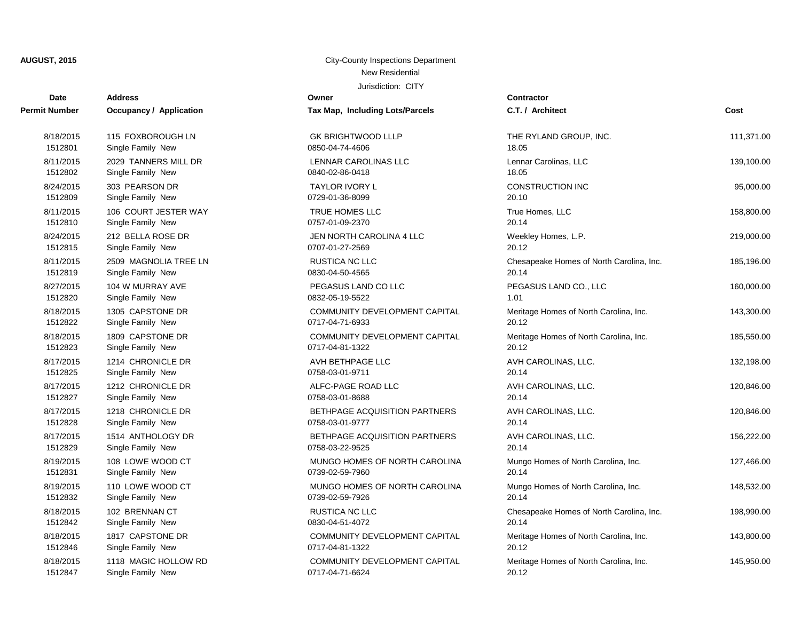| <b>Date</b>          | <b>Address</b>          | Owner                                | <b>Contractor</b> |
|----------------------|-------------------------|--------------------------------------|-------------------|
| <b>Permit Number</b> | Occupancy / Application | Tax Map, Including Lots/Parcels      | C.T. / Arch       |
| 8/18/2015            | 115 FOXBOROUGH LN       | <b>GK BRIGHTWOOD LLLP</b>            | <b>THE RYLA</b>   |
| 1512801              | Single Family New       | 0850-04-74-4606                      | 18.05             |
| 8/11/2015            | 2029 TANNERS MILL DR    | LENNAR CAROLINAS LLC                 | Lennar Car        |
| 1512802              | Single Family New       | 0840-02-86-0418                      | 18.05             |
| 8/24/2015            | 303 PEARSON DR          | TAYLOR IVORY L                       | <b>CONSTRU</b>    |
| 1512809              | Single Family New       | 0729-01-36-8099                      | 20.10             |
| 8/11/2015            | 106 COURT JESTER WAY    | <b>TRUE HOMES LLC</b>                | True Home         |
| 1512810              | Single Family New       | 0757-01-09-2370                      | 20.14             |
| 8/24/2015            | 212 BELLA ROSE DR       | JEN NORTH CAROLINA 4 LLC             | Weekley H         |
| 1512815              | Single Family New       | 0707-01-27-2569                      | 20.12             |
| 8/11/2015            | 2509 MAGNOLIA TREE LN   | <b>RUSTICA NC LLC</b>                | Chesapeak         |
| 1512819              | Single Family New       | 0830-04-50-4565                      | 20.14             |
| 8/27/2015            | 104 W MURRAY AVE        | PEGASUS LAND CO LLC                  | <b>PEGASUS</b>    |
| 1512820              | Single Family New       | 0832-05-19-5522                      | 1.01              |
| 8/18/2015            | 1305 CAPSTONE DR        | COMMUNITY DEVELOPMENT CAPITAL        | Meritage H        |
| 1512822              | Single Family New       | 0717-04-71-6933                      | 20.12             |
| 8/18/2015            | 1809 CAPSTONE DR        | COMMUNITY DEVELOPMENT CAPITAL        | Meritage H        |
| 1512823              | Single Family New       | 0717-04-81-1322                      | 20.12             |
| 8/17/2015            | 1214 CHRONICLE DR       | AVH BETHPAGE LLC                     | <b>AVH CARC</b>   |
| 1512825              | Single Family New       | 0758-03-01-9711                      | 20.14             |
| 8/17/2015            | 1212 CHRONICLE DR       | ALFC-PAGE ROAD LLC                   | <b>AVH CARC</b>   |
| 1512827              | Single Family New       | 0758-03-01-8688                      | 20.14             |
| 8/17/2015            | 1218 CHRONICLE DR       | <b>BETHPAGE ACQUISITION PARTNERS</b> | AVH CARC          |
| 1512828              | Single Family New       | 0758-03-01-9777                      | 20.14             |
| 8/17/2015            | 1514 ANTHOLOGY DR       | BETHPAGE ACQUISITION PARTNERS        | <b>AVH CARC</b>   |
| 1512829              | Single Family New       | 0758-03-22-9525                      | 20.14             |
| 8/19/2015            | 108 LOWE WOOD CT        | MUNGO HOMES OF NORTH CAROLINA        | Mungo Hon         |
| 1512831              | Single Family New       | 0739-02-59-7960                      | 20.14             |
| 8/19/2015            | 110 LOWE WOOD CT        | MUNGO HOMES OF NORTH CAROLINA        | Mungo Hon         |
| 1512832              | Single Family New       | 0739-02-59-7926                      | 20.14             |
| 8/18/2015            | 102 BRENNAN CT          | RUSTICA NC LLC                       | Chesapeak         |
| 1512842              | Single Family New       | 0830-04-51-4072                      | 20.14             |
| 8/18/2015            | 1817 CAPSTONE DR        | <b>COMMUNITY DEVELOPMENT CAPITAL</b> | Meritage Ho       |
| 1512846              | Single Family New       | 0717-04-81-1322                      | 20.12             |
| 8/18/2015            | 1118 MAGIC HOLLOW RD    | COMMUNITY DEVELOPMENT CAPITAL        | Meritage Ho       |
| 1512847              | Single Family New       | 0717-04-71-6624                      | 20.12             |

| SK BRIGHTWOOD LLLP<br>850-04-74-4606                     |
|----------------------------------------------------------|
| ENNAR CAROLINAS LLC.<br>840-02-86-0418                   |
| <b>TAYLOR IVORY L</b><br>729-01-36-8099                  |
| <b>TRUE HOMES LLC</b><br>757-01-09-2370                  |
| IEN NORTH CAROLINA 4 LLC<br>707-01-27-2569               |
| RUSTICA NC LLC<br>830-04-50-4565                         |
| PEGASUS LAND CO LLC<br>832-05-19-5522                    |
| COMMUNITY DEVELOPMENT CAPITAL<br>717-04-71-6933          |
| COMMUNITY DEVELOPMENT CAPITAL<br>717-04-81-1322          |
| VH BETHPAGE LLC<br>758-03-01-9711                        |
| <b>ILFC-PAGE ROAD LLC</b><br>758-03-01-8688              |
| BETHPAGE ACQUISITION PARTNERS<br>758-03-01-9777          |
| BETHPAGE ACQUISITION PARTNERS<br>758-03-22-9525          |
| <i>I</i> IUNGO HOMES OF NORTH CAROLINA<br>739-02-59-7960 |
| <i>I</i> IUNGO HOMES OF NORTH CAROLINA<br>739-02-59-7926 |
| RUSTICA NC LLC<br>830-04-51-4072                         |
| COMMUNITY DEVELOPMENT CAPITAL<br>717-04-81-1322          |
| COMMUNITY DEVELOPMENT CAPITAL                            |

| t Number  | Occupancy / Application | Tax Map, Including Lots/Parcels | C.T. / Architect                         | Cost       |
|-----------|-------------------------|---------------------------------|------------------------------------------|------------|
| 8/18/2015 | 115 FOXBOROUGH LN       | <b>GK BRIGHTWOOD LLLP</b>       | THE RYLAND GROUP, INC.                   | 111,371.00 |
| 1512801   | Single Family New       | 0850-04-74-4606                 | 18.05                                    |            |
| 8/11/2015 | 2029 TANNERS MILL DR    | LENNAR CAROLINAS LLC            | Lennar Carolinas, LLC                    | 139,100.00 |
| 1512802   | Single Family New       | 0840-02-86-0418                 | 18.05                                    |            |
| 8/24/2015 | 303 PEARSON DR          | TAYLOR IVORY L                  | CONSTRUCTION INC                         | 95,000.00  |
| 1512809   | Single Family New       | 0729-01-36-8099                 | 20.10                                    |            |
| 8/11/2015 | 106 COURT JESTER WAY    | TRUE HOMES LLC                  | True Homes, LLC                          | 158,800.00 |
| 1512810   | Single Family New       | 0757-01-09-2370                 | 20.14                                    |            |
| 8/24/2015 | 212 BELLA ROSE DR       | JEN NORTH CAROLINA 4 LLC        | Weekley Homes, L.P.                      | 219,000.00 |
| 1512815   | Single Family New       | 0707-01-27-2569                 | 20.12                                    |            |
| 8/11/2015 | 2509 MAGNOLIA TREE LN   | RUSTICA NC LLC                  | Chesapeake Homes of North Carolina, Inc. | 185,196.00 |
| 1512819   | Single Family New       | 0830-04-50-4565                 | 20.14                                    |            |
| 8/27/2015 | 104 W MURRAY AVE        | PEGASUS LAND CO LLC             | PEGASUS LAND CO., LLC                    | 160,000.00 |
| 1512820   | Single Family New       | 0832-05-19-5522                 | 1.01                                     |            |
| 8/18/2015 | 1305 CAPSTONE DR        | COMMUNITY DEVELOPMENT CAPITAL   | Meritage Homes of North Carolina, Inc.   | 143,300.00 |
| 1512822   | Single Family New       | 0717-04-71-6933                 | 20.12                                    |            |
| 8/18/2015 | 1809 CAPSTONE DR        | COMMUNITY DEVELOPMENT CAPITAL   | Meritage Homes of North Carolina, Inc.   | 185,550.00 |
| 1512823   | Single Family New       | 0717-04-81-1322                 | 20.12                                    |            |
| 8/17/2015 | 1214 CHRONICLE DR       | AVH BETHPAGE LLC                | AVH CAROLINAS, LLC.                      | 132,198.00 |
| 1512825   | Single Family New       | 0758-03-01-9711                 | 20.14                                    |            |
| 8/17/2015 | 1212 CHRONICLE DR       | ALFC-PAGE ROAD LLC              | AVH CAROLINAS, LLC.                      | 120,846.00 |
| 1512827   | Single Family New       | 0758-03-01-8688                 | 20.14                                    |            |
| 8/17/2015 | 1218 CHRONICLE DR       | BETHPAGE ACQUISITION PARTNERS   | AVH CAROLINAS, LLC.                      | 120,846.00 |
| 1512828   | Single Family New       | 0758-03-01-9777                 | 20.14                                    |            |
| 8/17/2015 | 1514 ANTHOLOGY DR       | BETHPAGE ACQUISITION PARTNERS   | AVH CAROLINAS, LLC.                      | 156,222.00 |
| 1512829   | Single Family New       | 0758-03-22-9525                 | 20.14                                    |            |
| 8/19/2015 | 108 LOWE WOOD CT        | MUNGO HOMES OF NORTH CAROLINA   | Mungo Homes of North Carolina, Inc.      | 127,466.00 |
| 1512831   | Single Family New       | 0739-02-59-7960                 | 20.14                                    |            |
| 8/19/2015 | 110 LOWE WOOD CT        | MUNGO HOMES OF NORTH CAROLINA   | Mungo Homes of North Carolina, Inc.      | 148,532.00 |
| 1512832   | Single Family New       | 0739-02-59-7926                 | 20.14                                    |            |
| 8/18/2015 | 102 BRENNAN CT          | RUSTICA NC LLC                  | Chesapeake Homes of North Carolina, Inc. | 198,990.00 |
| 1512842   | Single Family New       | 0830-04-51-4072                 | 20.14                                    |            |
| 8/18/2015 | 1817 CAPSTONE DR        | COMMUNITY DEVELOPMENT CAPITAL   | Meritage Homes of North Carolina, Inc.   | 143,800.00 |
| 1512846   | Single Family New       | 0717-04-81-1322                 | 20.12                                    |            |
| 8/18/2015 | 1118 MAGIC HOLLOW RD    | COMMUNITY DEVELOPMENT CAPITAL   | Meritage Homes of North Carolina, Inc.   | 145,950.00 |
| 4E40047   | Cinale Family Nau       | 074704740004                    | nn 10.                                   |            |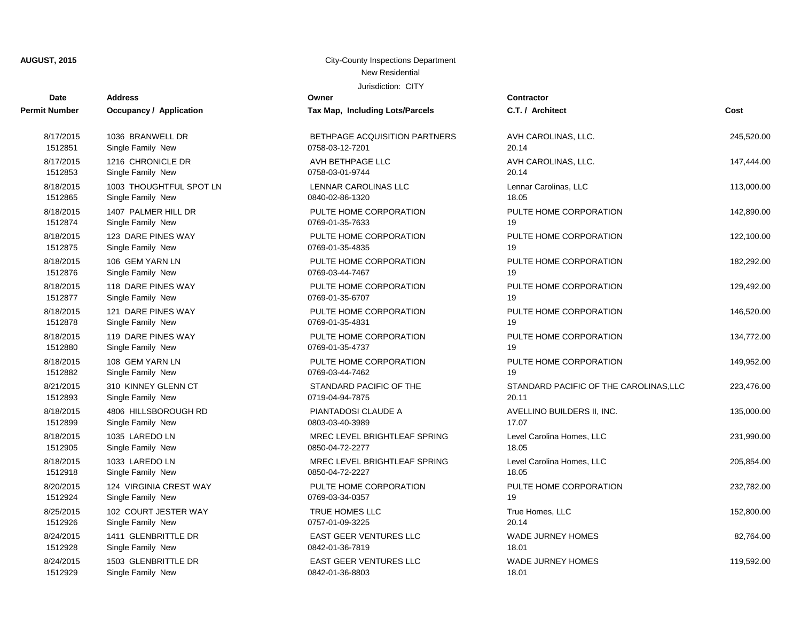| <b>Date</b>   | <b>Address</b>                 | Owner                           | <b>Contractor</b>                      |            |
|---------------|--------------------------------|---------------------------------|----------------------------------------|------------|
| Permit Number | <b>Occupancy / Application</b> | Tax Map, Including Lots/Parcels | C.T. / Architect                       | Cost       |
| 8/17/2015     | 1036 BRANWELL DR               | BETHPAGE ACQUISITION PARTNERS   | AVH CAROLINAS, LLC.                    | 245,520.00 |
| 1512851       | Single Family New              | 0758-03-12-7201                 | 20.14                                  |            |
| 8/17/2015     | 1216 CHRONICLE DR              | AVH BETHPAGE LLC                | AVH CAROLINAS, LLC.                    | 147,444.00 |
| 1512853       | Single Family New              | 0758-03-01-9744                 | 20.14                                  |            |
| 8/18/2015     | 1003 THOUGHTFUL SPOT LN        | LENNAR CAROLINAS LLC            | Lennar Carolinas, LLC                  | 113,000.00 |
| 1512865       | Single Family New              | 0840-02-86-1320                 | 18.05                                  |            |
| 8/18/2015     | 1407 PALMER HILL DR            | PULTE HOME CORPORATION          | PULTE HOME CORPORATION                 | 142,890.00 |
| 1512874       | Single Family New              | 0769-01-35-7633                 | 19                                     |            |
| 8/18/2015     | 123 DARE PINES WAY             | PULTE HOME CORPORATION          | PULTE HOME CORPORATION                 | 122,100.00 |
| 1512875       | Single Family New              | 0769-01-35-4835                 | 19                                     |            |
| 8/18/2015     | 106 GEM YARN LN                | PULTE HOME CORPORATION          | PULTE HOME CORPORATION                 | 182,292.00 |
| 1512876       | Single Family New              | 0769-03-44-7467                 | 19                                     |            |
| 8/18/2015     | 118 DARE PINES WAY             | PULTE HOME CORPORATION          | PULTE HOME CORPORATION                 | 129,492.00 |
| 1512877       | Single Family New              | 0769-01-35-6707                 | 19                                     |            |
| 8/18/2015     | 121 DARE PINES WAY             | PULTE HOME CORPORATION          | PULTE HOME CORPORATION                 | 146,520.00 |
| 1512878       | Single Family New              | 0769-01-35-4831                 | 19                                     |            |
| 8/18/2015     | 119 DARE PINES WAY             | PULTE HOME CORPORATION          | PULTE HOME CORPORATION                 | 134,772.00 |
| 1512880       | Single Family New              | 0769-01-35-4737                 | 19                                     |            |
| 8/18/2015     | 108 GEM YARN LN                | PULTE HOME CORPORATION          | PULTE HOME CORPORATION                 | 149,952.00 |
| 1512882       | Single Family New              | 0769-03-44-7462                 | 19                                     |            |
| 8/21/2015     | 310 KINNEY GLENN CT            | STANDARD PACIFIC OF THE         | STANDARD PACIFIC OF THE CAROLINAS, LLC | 223,476.00 |
| 1512893       | Single Family New              | 0719-04-94-7875                 | 20.11                                  |            |
| 8/18/2015     | 4806 HILLSBOROUGH RD           | PIANTADOSI CLAUDE A             | AVELLINO BUILDERS II, INC.             | 135,000.00 |
| 1512899       | Single Family New              | 0803-03-40-3989                 | 17.07                                  |            |
| 8/18/2015     | 1035 LAREDO LN                 | MREC LEVEL BRIGHTLEAF SPRING    | Level Carolina Homes, LLC              | 231,990.00 |
| 1512905       | Single Family New              | 0850-04-72-2277                 | 18.05                                  |            |
| 8/18/2015     | 1033 LAREDO LN                 | MREC LEVEL BRIGHTLEAF SPRING    | Level Carolina Homes, LLC              | 205,854.00 |
| 1512918       | Single Family New              | 0850-04-72-2227                 | 18.05                                  |            |
| 8/20/2015     | 124 VIRGINIA CREST WAY         | PULTE HOME CORPORATION          | PULTE HOME CORPORATION                 | 232,782.00 |
| 1512924       | Single Family New              | 0769-03-34-0357                 | 19                                     |            |
| 8/25/2015     | 102 COURT JESTER WAY           | TRUE HOMES LLC                  | True Homes, LLC                        | 152,800.00 |
| 1512926       | Single Family New              | 0757-01-09-3225                 | 20.14                                  |            |
| 8/24/2015     | 1411 GLENBRITTLE DR            | EAST GEER VENTURES LLC          | <b>WADE JURNEY HOMES</b>               | 82,764.00  |
| 1512928       | Single Family New              | 0842-01-36-7819                 | 18.01                                  |            |
| 8/24/2015     | 1503 GLENBRITTLE DR            | <b>EAST GEER VENTURES LLC</b>   | <b>WADE JURNEY HOMES</b>               | 119,592.00 |
| 1512929       | Single Family New              | 0842-01-36-8803                 | 18.01                                  |            |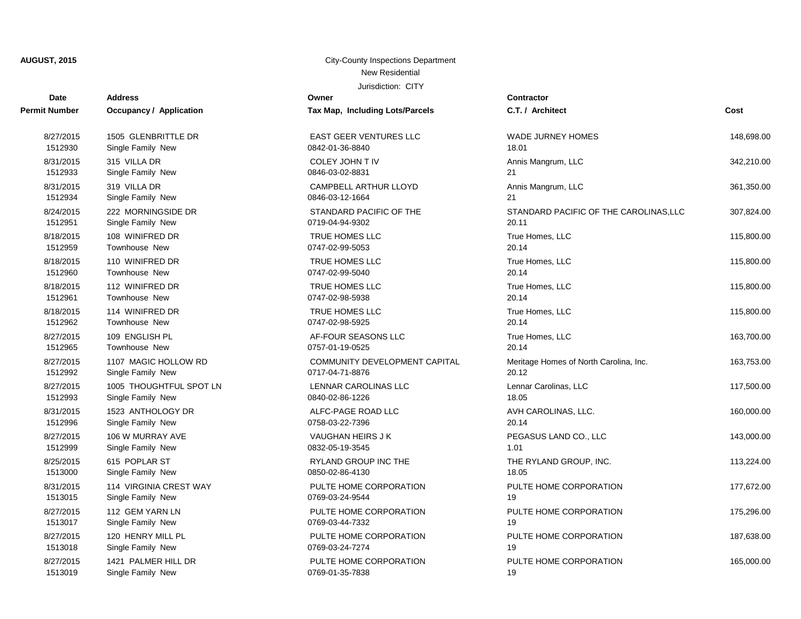| <b>Date</b>          | <b>Address</b>                 | Owner                                | <b>Contractor</b>                      |            |
|----------------------|--------------------------------|--------------------------------------|----------------------------------------|------------|
| <b>Permit Number</b> | <b>Occupancy / Application</b> | Tax Map, Including Lots/Parcels      | C.T. / Architect                       | Cost       |
| 8/27/2015            | 1505 GLENBRITTLE DR            | <b>EAST GEER VENTURES LLC</b>        | <b>WADE JURNEY HOMES</b>               | 148,698.00 |
| 1512930              | Single Family New              | 0842-01-36-8840                      | 18.01                                  |            |
| 8/31/2015            | 315 VILLA DR                   | COLEY JOHN T IV                      | Annis Mangrum, LLC                     | 342.210.00 |
| 1512933              | Single Family New              | 0846-03-02-8831                      | 21                                     |            |
| 8/31/2015            | 319 VILLA DR                   | CAMPBELL ARTHUR LLOYD                | Annis Mangrum, LLC                     | 361,350.00 |
| 1512934              | Single Family New              | 0846-03-12-1664                      | 21                                     |            |
| 8/24/2015            | 222 MORNINGSIDE DR             | STANDARD PACIFIC OF THE              | STANDARD PACIFIC OF THE CAROLINAS, LLC | 307,824.00 |
| 1512951              | Single Family New              | 0719-04-94-9302                      | 20.11                                  |            |
| 8/18/2015            | 108 WINIFRED DR                | TRUE HOMES LLC                       | True Homes, LLC                        | 115,800.00 |
| 1512959              | Townhouse New                  | 0747-02-99-5053                      | 20.14                                  |            |
| 8/18/2015            | 110 WINIFRED DR                | TRUE HOMES LLC                       | True Homes, LLC                        | 115,800.00 |
| 1512960              | Townhouse New                  | 0747-02-99-5040                      | 20.14                                  |            |
| 8/18/2015            | 112 WINIFRED DR                | TRUE HOMES LLC                       | True Homes, LLC                        | 115,800.00 |
| 1512961              | <b>Townhouse New</b>           | 0747-02-98-5938                      | 20.14                                  |            |
| 8/18/2015            | 114 WINIFRED DR                | TRUE HOMES LLC                       | True Homes, LLC                        | 115,800.00 |
| 1512962              | <b>Townhouse New</b>           | 0747-02-98-5925                      | 20.14                                  |            |
| 8/27/2015            | 109 ENGLISH PL                 | AF-FOUR SEASONS LLC                  | True Homes, LLC                        | 163,700.00 |
| 1512965              | <b>Townhouse New</b>           | 0757-01-19-0525                      | 20.14                                  |            |
| 8/27/2015            | 1107 MAGIC HOLLOW RD           | <b>COMMUNITY DEVELOPMENT CAPITAL</b> | Meritage Homes of North Carolina, Inc. | 163,753.00 |
| 1512992              | Single Family New              | 0717-04-71-8876                      | 20.12                                  |            |
| 8/27/2015            | 1005 THOUGHTFUL SPOT LN        | LENNAR CAROLINAS LLC                 | Lennar Carolinas, LLC                  | 117,500.00 |
| 1512993              | Single Family New              | 0840-02-86-1226                      | 18.05                                  |            |
| 8/31/2015            | 1523 ANTHOLOGY DR              | ALFC-PAGE ROAD LLC                   | AVH CAROLINAS, LLC.                    | 160,000.00 |
| 1512996              | Single Family New              | 0758-03-22-7396                      | 20.14                                  |            |
| 8/27/2015            | 106 W MURRAY AVE               | VAUGHAN HEIRS J K                    | PEGASUS LAND CO., LLC                  | 143,000.00 |
| 1512999              | Single Family New              | 0832-05-19-3545                      | 1.01                                   |            |
| 8/25/2015            | 615 POPLAR ST                  | RYLAND GROUP INC THE                 | THE RYLAND GROUP, INC.                 | 113,224.00 |
| 1513000              | Single Family New              | 0850-02-86-4130                      | 18.05                                  |            |
| 8/31/2015            | 114 VIRGINIA CREST WAY         | PULTE HOME CORPORATION               | PULTE HOME CORPORATION                 | 177,672.00 |
| 1513015              | Single Family New              | 0769-03-24-9544                      | 19                                     |            |
| 8/27/2015            | 112 GEM YARN LN                | PULTE HOME CORPORATION               | PULTE HOME CORPORATION                 | 175,296.00 |
| 1513017              | Single Family New              | 0769-03-44-7332                      | 19                                     |            |
| 8/27/2015            | 120 HENRY MILL PL              | PULTE HOME CORPORATION               | PULTE HOME CORPORATION                 | 187,638.00 |
| 1513018              | Single Family New              | 0769-03-24-7274                      | 19                                     |            |
| 8/27/2015            | 1421 PALMER HILL DR            | PULTE HOME CORPORATION               | PULTE HOME CORPORATION                 | 165,000.00 |
| 1513019              | Single Family New              | 0769-01-35-7838                      | 19                                     |            |

| conuación<br>C.T. / Architect                   | Cost       |
|-------------------------------------------------|------------|
| <b>WADE JURNEY HOMES</b><br>18.01               | 148,698.00 |
| Annis Mangrum, LLC<br>21                        | 342,210.00 |
| Annis Mangrum, LLC<br>21                        | 361,350.00 |
| STANDARD PACIFIC OF THE CAROLINAS, LLC<br>20.11 | 307,824.00 |
| True Homes, LLC<br>20.14                        | 115,800.00 |
| True Homes, LLC<br>20.14                        | 115,800.00 |
| True Homes, LLC<br>20.14                        | 115,800.00 |
| True Homes, LLC<br>20.14                        | 115,800.00 |
| True Homes, LLC<br>20.14                        | 163,700.00 |
| Meritage Homes of North Carolina, Inc.<br>20.12 | 163,753.00 |
| Lennar Carolinas, LLC<br>18.05                  | 117,500.00 |
| AVH CAROLINAS, LLC.<br>20.14                    | 160,000.00 |
| PEGASUS LAND CO., LLC<br>1.01                   | 143,000.00 |
| THE RYLAND GROUP, INC.<br>18.05                 | 113,224.00 |
| PULTE HOME CORPORATION<br>19                    | 177,672.00 |
| PULTE HOME CORPORATION<br>19                    | 175,296.00 |
| PULTE HOME CORPORATION<br>19                    | 187,638.00 |
| PULTE HOME CORPORATION                          | 165,000.00 |